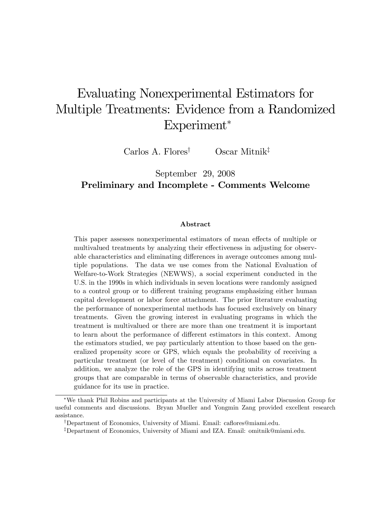# Evaluating Nonexperimental Estimators for Multiple Treatments: Evidence from a Randomized Experiment<sup>\*</sup>

Carlos A. Flores<sup>†</sup> Oscar Mitnik<sup>‡</sup>

### September 29, 2008 Preliminary and Incomplete - Comments Welcome

#### Abstract

This paper assesses nonexperimental estimators of mean effects of multiple or multivalued treatments by analyzing their effectiveness in adjusting for observable characteristics and eliminating differences in average outcomes among multiple populations. The data we use comes from the National Evaluation of Welfare-to-Work Strategies (NEWWS), a social experiment conducted in the U.S. in the 1990s in which individuals in seven locations were randomly assigned to a control group or to different training programs emphasizing either human capital development or labor force attachment. The prior literature evaluating the performance of nonexperimental methods has focused exclusively on binary treatments. Given the growing interest in evaluating programs in which the treatment is multivalued or there are more than one treatment it is important to learn about the performance of different estimators in this context. Among the estimators studied, we pay particularly attention to those based on the generalized propensity score or GPS, which equals the probability of receiving a particular treatment (or level of the treatment) conditional on covariates. In addition, we analyze the role of the GPS in identifying units across treatment groups that are comparable in terms of observable characteristics, and provide guidance for its use in practice.

We thank Phil Robins and participants at the University of Miami Labor Discussion Group for useful comments and discussions. Bryan Mueller and Yongmin Zang provided excellent research assistance.

<sup>&</sup>lt;sup>†</sup>Department of Economics, University of Miami. Email: caflores@miami.edu.

<sup>&</sup>lt;sup>‡</sup>Department of Economics, University of Miami and IZA. Email: omitnik@miami.edu.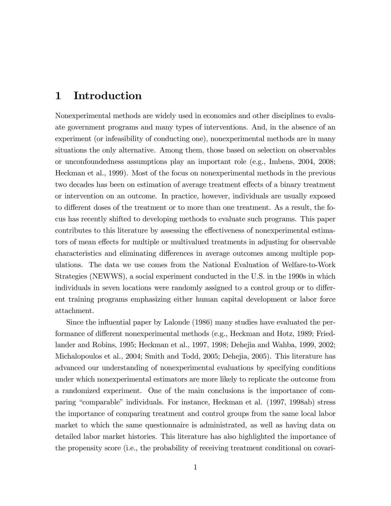# 1 Introduction

Nonexperimental methods are widely used in economics and other disciplines to evaluate government programs and many types of interventions. And, in the absence of an experiment (or infeasibility of conducting one), nonexperimental methods are in many situations the only alternative. Among them, those based on selection on observables or unconfoundedness assumptions play an important role (e.g., Imbens, 2004, 2008; Heckman et al., 1999). Most of the focus on nonexperimental methods in the previous two decades has been on estimation of average treatment effects of a binary treatment or intervention on an outcome. In practice, however, individuals are usually exposed to different doses of the treatment or to more than one treatment. As a result, the focus has recently shifted to developing methods to evaluate such programs. This paper contributes to this literature by assessing the effectiveness of nonexperimental estimators of mean effects for multiple or multivalued treatments in adjusting for observable characteristics and eliminating differences in average outcomes among multiple populations. The data we use comes from the National Evaluation of Welfare-to-Work Strategies (NEWWS), a social experiment conducted in the U.S. in the 1990s in which individuals in seven locations were randomly assigned to a control group or to different training programs emphasizing either human capital development or labor force attachment.

Since the influential paper by Lalonde (1986) many studies have evaluated the performance of different nonexperimental methods (e.g., Heckman and Hotz, 1989; Friedlander and Robins, 1995; Heckman et al., 1997, 1998; Dehejia and Wahba, 1999, 2002; Michalopoulos et al., 2004; Smith and Todd, 2005; Dehejia, 2005). This literature has advanced our understanding of nonexperimental evaluations by specifying conditions under which nonexperimental estimators are more likely to replicate the outcome from a randomized experiment. One of the main conclusions is the importance of comparing "comparable" individuals. For instance, Heckman et al. (1997, 1998ab) stress the importance of comparing treatment and control groups from the same local labor market to which the same questionnaire is administrated, as well as having data on detailed labor market histories. This literature has also highlighted the importance of the propensity score (i.e., the probability of receiving treatment conditional on covari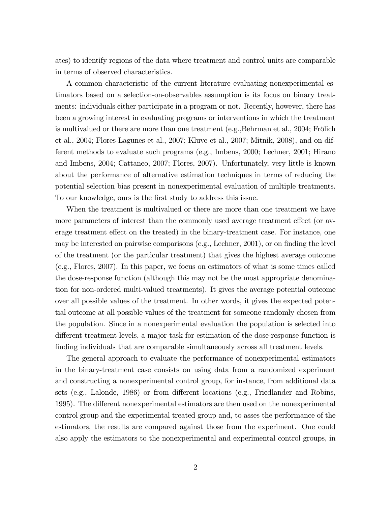ates) to identify regions of the data where treatment and control units are comparable in terms of observed characteristics.

A common characteristic of the current literature evaluating nonexperimental estimators based on a selection-on-observables assumption is its focus on binary treatments: individuals either participate in a program or not. Recently, however, there has been a growing interest in evaluating programs or interventions in which the treatment is multivalued or there are more than one treatment  $(e.g., Behrman et al., 2004; Frölich)$ et al., 2004; Flores-Lagunes et al., 2007; Kluve et al., 2007; Mitnik, 2008), and on different methods to evaluate such programs (e.g., Imbens, 2000; Lechner, 2001; Hirano and Imbens, 2004; Cattaneo, 2007; Flores, 2007). Unfortunately, very little is known about the performance of alternative estimation techniques in terms of reducing the potential selection bias present in nonexperimental evaluation of multiple treatments. To our knowledge, ours is the first study to address this issue.

When the treatment is multivalued or there are more than one treatment we have more parameters of interest than the commonly used average treatment effect (or average treatment effect on the treated) in the binary-treatment case. For instance, one may be interested on pairwise comparisons (e.g., Lechner, 2001), or on finding the level of the treatment (or the particular treatment) that gives the highest average outcome (e.g., Flores, 2007). In this paper, we focus on estimators of what is some times called the dose-response function (although this may not be the most appropriate denomination for non-ordered multi-valued treatments). It gives the average potential outcome over all possible values of the treatment. In other words, it gives the expected potential outcome at all possible values of the treatment for someone randomly chosen from the population. Since in a nonexperimental evaluation the population is selected into different treatment levels, a major task for estimation of the dose-response function is finding individuals that are comparable simultaneously across all treatment levels.

The general approach to evaluate the performance of nonexperimental estimators in the binary-treatment case consists on using data from a randomized experiment and constructing a nonexperimental control group, for instance, from additional data sets (e.g., Lalonde, 1986) or from different locations (e.g., Friedlander and Robins, 1995). The different nonexperimental estimators are then used on the nonexperimental control group and the experimental treated group and, to asses the performance of the estimators, the results are compared against those from the experiment. One could also apply the estimators to the nonexperimental and experimental control groups, in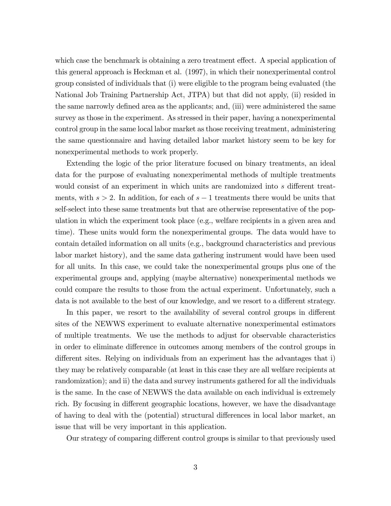which case the benchmark is obtaining a zero treatment effect. A special application of this general approach is Heckman et al. (1997), in which their nonexperimental control group consisted of individuals that (i) were eligible to the program being evaluated (the National Job Training Partnership Act, JTPA) but that did not apply, (ii) resided in the same narrowly defined area as the applicants; and, (iii) were administered the same survey as those in the experiment. As stressed in their paper, having a nonexperimental control group in the same local labor market as those receiving treatment, administering the same questionnaire and having detailed labor market history seem to be key for nonexperimental methods to work properly.

Extending the logic of the prior literature focused on binary treatments, an ideal data for the purpose of evaluating nonexperimental methods of multiple treatments would consist of an experiment in which units are randomized into  $s$  different treatments, with  $s > 2$ . In addition, for each of  $s - 1$  treatments there would be units that self-select into these same treatments but that are otherwise representative of the population in which the experiment took place (e.g., welfare recipients in a given area and time). These units would form the nonexperimental groups. The data would have to contain detailed information on all units (e.g., background characteristics and previous labor market history), and the same data gathering instrument would have been used for all units. In this case, we could take the nonexperimental groups plus one of the experimental groups and, applying (maybe alternative) nonexperimental methods we could compare the results to those from the actual experiment. Unfortunately, such a data is not available to the best of our knowledge, and we resort to a different strategy.

In this paper, we resort to the availability of several control groups in different sites of the NEWWS experiment to evaluate alternative nonexperimental estimators of multiple treatments. We use the methods to adjust for observable characteristics in order to eliminate difference in outcomes among members of the control groups in different sites. Relying on individuals from an experiment has the advantages that i) they may be relatively comparable (at least in this case they are all welfare recipients at randomization); and ii) the data and survey instruments gathered for all the individuals is the same. In the case of NEWWS the data available on each individual is extremely rich. By focusing in different geographic locations, however, we have the disadvantage of having to deal with the (potential) structural differences in local labor market, an issue that will be very important in this application.

Our strategy of comparing different control groups is similar to that previously used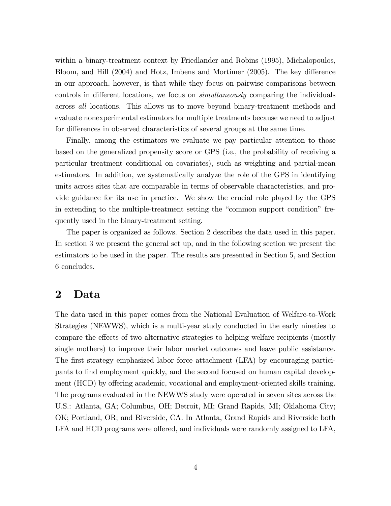within a binary-treatment context by Friedlander and Robins (1995), Michalopoulos, Bloom, and Hill (2004) and Hotz, Imbens and Mortimer (2005). The key difference in our approach, however, is that while they focus on pairwise comparisons between controls in different locations, we focus on *simultaneously* comparing the individuals across all locations. This allows us to move beyond binary-treatment methods and evaluate nonexperimental estimators for multiple treatments because we need to adjust for differences in observed characteristics of several groups at the same time.

Finally, among the estimators we evaluate we pay particular attention to those based on the generalized propensity score or GPS (i.e., the probability of receiving a particular treatment conditional on covariates), such as weighting and partial-mean estimators. In addition, we systematically analyze the role of the GPS in identifying units across sites that are comparable in terms of observable characteristics, and provide guidance for its use in practice. We show the crucial role played by the GPS in extending to the multiple-treatment setting the "common support condition" frequently used in the binary-treatment setting.

The paper is organized as follows. Section 2 describes the data used in this paper. In section 3 we present the general set up, and in the following section we present the estimators to be used in the paper. The results are presented in Section 5, and Section 6 concludes.

### 2 Data

The data used in this paper comes from the National Evaluation of Welfare-to-Work Strategies (NEWWS), which is a multi-year study conducted in the early nineties to compare the effects of two alternative strategies to helping welfare recipients (mostly single mothers) to improve their labor market outcomes and leave public assistance. The first strategy emphasized labor force attachment (LFA) by encouraging participants to Önd employment quickly, and the second focused on human capital development (HCD) by offering academic, vocational and employment-oriented skills training. The programs evaluated in the NEWWS study were operated in seven sites across the U.S.: Atlanta, GA; Columbus, OH; Detroit, MI; Grand Rapids, MI; Oklahoma City; OK; Portland, OR; and Riverside, CA. In Atlanta, Grand Rapids and Riverside both LFA and HCD programs were offered, and individuals were randomly assigned to LFA,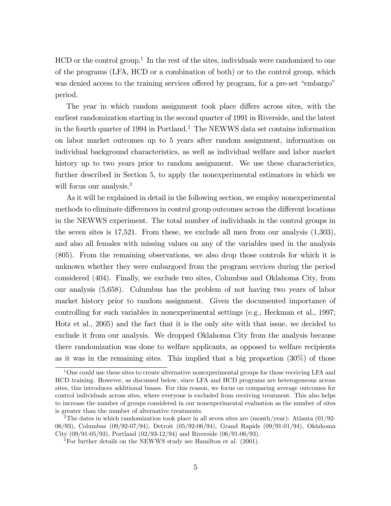HCD or the control group.<sup>1</sup> In the rest of the sites, individuals were randomized to one of the programs (LFA, HCD or a combination of both) or to the control group, which was denied access to the training services offered by program, for a pre-set "embargo" period.

The year in which random assignment took place differs across sites, with the earliest randomization starting in the second quarter of 1991 in Riverside, and the latest in the fourth quarter of 1994 in Portland.<sup>2</sup> The NEWWS data set contains information on labor market outcomes up to 5 years after random assignment, information on individual background characteristics, as well as individual welfare and labor market history up to two years prior to random assignment. We use these characteristics, further described in Section 5, to apply the nonexperimental estimators in which we will focus our analysis.<sup>3</sup>

As it will be explained in detail in the following section, we employ nonexperimental methods to eliminate differences in control group outcomes across the different locations in the NEWWS experiment. The total number of individuals in the control groups in the seven sites is 17,521. From these, we exclude all men from our analysis (1,303), and also all females with missing values on any of the variables used in the analysis (805). From the remaining observations, we also drop those controls for which it is unknown whether they were embargoed from the program services during the period considered (404). Finally, we exclude two sites, Columbus and Oklahoma City, from our analysis (5,658). Columbus has the problem of not having two years of labor market history prior to random assignment. Given the documented importance of controlling for such variables in nonexperimental settings (e.g., Heckman et al., 1997; Hotz et al., 2005) and the fact that it is the only site with that issue, we decided to exclude it from our analysis. We dropped Oklahoma City from the analysis because there randomization was done to welfare applicants, as opposed to welfare recipients as it was in the remaining sites. This implied that a big proportion (30%) of those

<sup>&</sup>lt;sup>1</sup>One could use these sites to create alternative nonexperimental groups for those receiving LFA and HCD training. However, as discussed below, since LFA and HCD programs are heterogeneous across sites, this introduces additional biases. For this reason, we focus on comparing average outcomes for control individuals across sites, where everyone is excluded from receiving treatment. This also helps to increase the number of groups considered in our nonexperimental evaluation as the number of sites is greater than the number of alternative treatments.

<sup>&</sup>lt;sup>2</sup>The dates in which randomization took place in all seven sites are (month/year): Atlanta  $(01/92-$ 06/93), Columbus (09/92-07/94), Detroit (05/92-06/94), Grand Rapids (09/91-01/94), Oklahoma City (09/91-05/93), Portland (02/93-12/94) and Riverside (06/91-06/93).

 ${}^{3}$ For further details on the NEWWS study see Hamilton et al. (2001).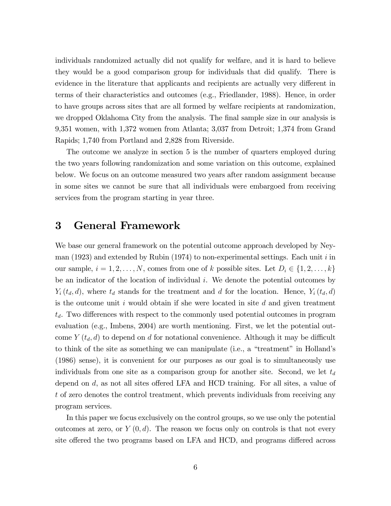individuals randomized actually did not qualify for welfare, and it is hard to believe they would be a good comparison group for individuals that did qualify. There is evidence in the literature that applicants and recipients are actually very different in terms of their characteristics and outcomes (e.g., Friedlander, 1988). Hence, in order to have groups across sites that are all formed by welfare recipients at randomization, we dropped Oklahoma City from the analysis. The final sample size in our analysis is 9,351 women, with 1,372 women from Atlanta; 3,037 from Detroit; 1,374 from Grand Rapids; 1,740 from Portland and 2,828 from Riverside.

The outcome we analyze in section 5 is the number of quarters employed during the two years following randomization and some variation on this outcome, explained below. We focus on an outcome measured two years after random assignment because in some sites we cannot be sure that all individuals were embargoed from receiving services from the program starting in year three.

### 3 General Framework

We base our general framework on the potential outcome approach developed by Neyman (1923) and extended by Rubin (1974) to non-experimental settings. Each unit  $i$  in our sample,  $i = 1, 2, ..., N$ , comes from one of k possible sites. Let  $D_i \in \{1, 2, ..., k\}$ be an indicator of the location of individual i. We denote the potential outcomes by  $Y_i(t_d, d)$ , where  $t_d$  stands for the treatment and d for the location. Hence,  $Y_i(t_d, d)$ is the outcome unit  $i$  would obtain if she were located in site  $d$  and given treatment  $t_d$ . Two differences with respect to the commonly used potential outcomes in program evaluation (e.g., Imbens, 2004) are worth mentioning. First, we let the potential outcome  $Y(t_d, d)$  to depend on d for notational convenience. Although it may be difficult to think of the site as something we can manipulate (i.e., a "treatment" in Holland's (1986) sense), it is convenient for our purposes as our goal is to simultaneously use individuals from one site as a comparison group for another site. Second, we let  $t_d$ depend on  $d$ , as not all sites offered LFA and HCD training. For all sites, a value of t of zero denotes the control treatment, which prevents individuals from receiving any program services.

In this paper we focus exclusively on the control groups, so we use only the potential outcomes at zero, or  $Y(0, d)$ . The reason we focus only on controls is that not every site offered the two programs based on LFA and HCD, and programs differed across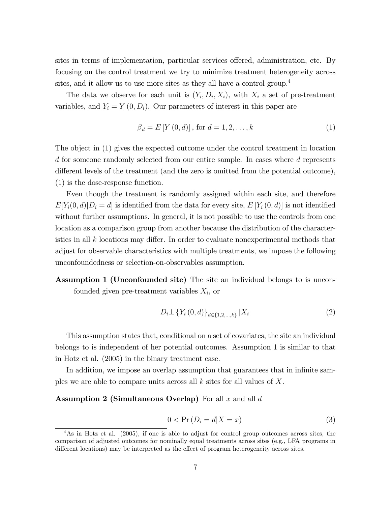sites in terms of implementation, particular services offered, administration, etc. By focusing on the control treatment we try to minimize treatment heterogeneity across sites, and it allow us to use more sites as they all have a control group.<sup>4</sup>

The data we observe for each unit is  $(Y_i, D_i, X_i)$ , with  $X_i$  a set of pre-treatment variables, and  $Y_i = Y(0, D_i)$ . Our parameters of interest in this paper are

$$
\beta_d = E\left[Y(0, d)\right], \text{ for } d = 1, 2, \dots, k \tag{1}
$$

The object in (1) gives the expected outcome under the control treatment in location d for someone randomly selected from our entire sample. In cases where d represents different levels of the treatment (and the zero is omitted from the potential outcome), (1) is the dose-response function.

Even though the treatment is randomly assigned within each site, and therefore  $E[Y_i(0, d) | D_i = d]$  is identified from the data for every site,  $E[Y_i(0, d)]$  is not identified without further assumptions. In general, it is not possible to use the controls from one location as a comparison group from another because the distribution of the characteristics in all  $k$  locations may differ. In order to evaluate nonexperimental methods that adjust for observable characteristics with multiple treatments, we impose the following unconfoundedness or selection-on-observables assumption.

Assumption 1 (Unconfounded site) The site an individual belongs to is unconfounded given pre-treatment variables  $X_i$ , or

$$
D_i \perp \{ Y_i(0, d) \}_{d \in \{1, 2, \dots, k\}} | X_i
$$
 (2)

This assumption states that, conditional on a set of covariates, the site an individual belongs to is independent of her potential outcomes. Assumption 1 is similar to that in Hotz et al. (2005) in the binary treatment case.

In addition, we impose an overlap assumption that guarantees that in infinite samples we are able to compare units across all  $k$  sites for all values of  $X$ .

Assumption 2 (Simultaneous Overlap) For all x and all  $d$ 

$$
0 < \Pr\left(D_i = d | X = x\right) \tag{3}
$$

<sup>&</sup>lt;sup>4</sup>As in Hotz et al. (2005), if one is able to adjust for control group outcomes across sites, the comparison of adjusted outcomes for nominally equal treatments across sites (e.g., LFA programs in different locations) may be interpreted as the effect of program heterogeneity across sites.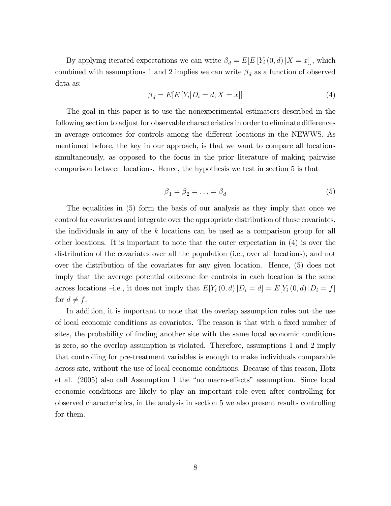By applying iterated expectations we can write  $\beta_d = E[E[Y_i(0, d) | X = x]]$ , which combined with assumptions 1 and 2 implies we can write  $\beta_d$  as a function of observed data as:

$$
\beta_d = E[E[Y_i|D_i = d, X = x]] \tag{4}
$$

The goal in this paper is to use the nonexperimental estimators described in the following section to adjust for observable characteristics in order to eliminate differences in average outcomes for controls among the different locations in the NEWWS. As mentioned before, the key in our approach, is that we want to compare all locations simultaneously, as opposed to the focus in the prior literature of making pairwise comparison between locations. Hence, the hypothesis we test in section 5 is that

$$
\beta_1 = \beta_2 = \ldots = \beta_d \tag{5}
$$

The equalities in (5) form the basis of our analysis as they imply that once we control for covariates and integrate over the appropriate distribution of those covariates, the individuals in any of the  $k$  locations can be used as a comparison group for all other locations. It is important to note that the outer expectation in (4) is over the distribution of the covariates over all the population (i.e., over all locations), and not over the distribution of the covariates for any given location. Hence, (5) does not imply that the average potential outcome for controls in each location is the same across locations –i.e., it does not imply that  $E[Y_i(0, d)|D_i = d] = E[Y_i(0, d)|D_i = f]$ for  $d \neq f$ .

In addition, it is important to note that the overlap assumption rules out the use of local economic conditions as covariates. The reason is that with a fixed number of sites, the probability of finding another site with the same local economic conditions is zero, so the overlap assumption is violated. Therefore, assumptions 1 and 2 imply that controlling for pre-treatment variables is enough to make individuals comparable across site, without the use of local economic conditions. Because of this reason, Hotz et al.  $(2005)$  also call Assumption 1 the "no macro-effects" assumption. Since local economic conditions are likely to play an important role even after controlling for observed characteristics, in the analysis in section 5 we also present results controlling for them.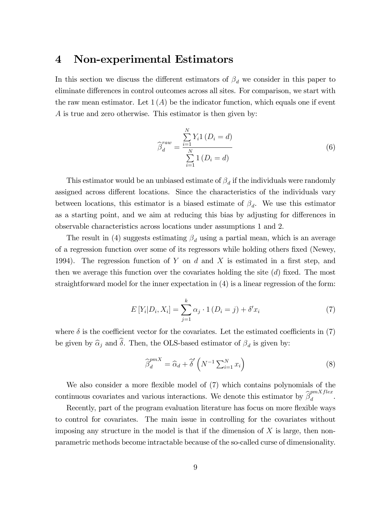### 4 Non-experimental Estimators

In this section we discuss the different estimators of  $\beta_d$  we consider in this paper to eliminate differences in control outcomes across all sites. For comparison, we start with the raw mean estimator. Let  $1(A)$  be the indicator function, which equals one if event A is true and zero otherwise. This estimator is then given by:

$$
\widehat{\beta}_d^{raw} = \frac{\sum_{i=1}^{N} Y_i (D_i = d)}{\sum_{i=1}^{N} (D_i = d)}
$$
\n(6)

This estimator would be an unbiased estimate of  $\beta_d$  if the individuals were randomly assigned across different locations. Since the characteristics of the individuals vary between locations, this estimator is a biased estimate of  $\beta_d$ . We use this estimator as a starting point, and we aim at reducing this bias by adjusting for differences in observable characteristics across locations under assumptions 1 and 2.

The result in (4) suggests estimating  $\beta_d$  using a partial mean, which is an average of a regression function over some of its regressors while holding others fixed (Newey, 1994). The regression function of Y on d and X is estimated in a first step, and then we average this function over the covariates holding the site  $(d)$  fixed. The most straightforward model for the inner expectation in (4) is a linear regression of the form:

$$
E[Y_i|D_i, X_i] = \sum_{j=1}^{k} \alpha_j \cdot 1 (D_i = j) + \delta' x_i
$$
 (7)

where  $\delta$  is the coefficient vector for the covariates. Let the estimated coefficients in (7) be given by  $\widehat{\alpha}_j$  and  $\delta$ . Then, the OLS-based estimator of  $\beta_d$  is given by:

$$
\widehat{\beta}_d^{pmX} = \widehat{\alpha}_d + \widehat{\delta}' \left( N^{-1} \sum_{i=1}^N x_i \right) \tag{8}
$$

We also consider a more flexible model of  $(7)$  which contains polynomials of the continuous covariates and various interactions. We denote this estimator by  $\hat{\beta}_d^{pmXflex}$  $\frac{d}{d}$ .

Recently, part of the program evaluation literature has focus on more flexible ways to control for covariates. The main issue in controlling for the covariates without imposing any structure in the model is that if the dimension of  $X$  is large, then nonparametric methods become intractable because of the so-called curse of dimensionality.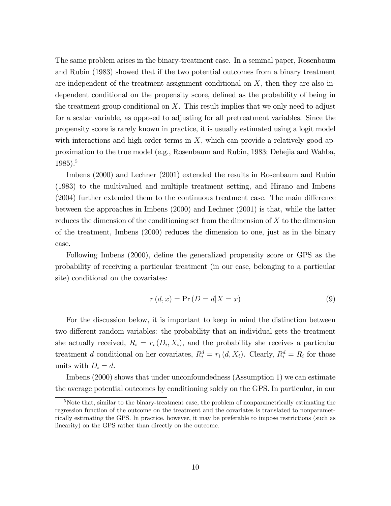The same problem arises in the binary-treatment case. In a seminal paper, Rosenbaum and Rubin (1983) showed that if the two potential outcomes from a binary treatment are independent of the treatment assignment conditional on  $X$ , then they are also independent conditional on the propensity score, defined as the probability of being in the treatment group conditional on  $X$ . This result implies that we only need to adjust for a scalar variable, as opposed to adjusting for all pretreatment variables. Since the propensity score is rarely known in practice, it is usually estimated using a logit model with interactions and high order terms in  $X$ , which can provide a relatively good approximation to the true model (e.g., Rosenbaum and Rubin, 1983; Dehejia and Wahba, 1985).<sup>5</sup>

Imbens (2000) and Lechner (2001) extended the results in Rosenbaum and Rubin (1983) to the multivalued and multiple treatment setting, and Hirano and Imbens  $(2004)$  further extended them to the continuous treatment case. The main difference between the approaches in Imbens (2000) and Lechner (2001) is that, while the latter reduces the dimension of the conditioning set from the dimension of X to the dimension of the treatment, Imbens (2000) reduces the dimension to one, just as in the binary case.

Following Imbens (2000), define the generalized propensity score or GPS as the probability of receiving a particular treatment (in our case, belonging to a particular site) conditional on the covariates:

$$
r(d, x) = \Pr(D = d | X = x)
$$
\n(9)

For the discussion below, it is important to keep in mind the distinction between two different random variables: the probability that an individual gets the treatment she actually received,  $R_i = r_i(D_i, X_i)$ , and the probability she receives a particular treatment d conditional on her covariates,  $R_i^d = r_i(d, X_i)$ . Clearly,  $R_i^d = R_i$  for those units with  $D_i = d$ .

Imbens (2000) shows that under unconfoundedness (Assumption 1) we can estimate the average potential outcomes by conditioning solely on the GPS. In particular, in our

<sup>5</sup>Note that, similar to the binary-treatment case, the problem of nonparametrically estimating the regression function of the outcome on the treatment and the covariates is translated to nonparametrically estimating the GPS. In practice, however, it may be preferable to impose restrictions (such as linearity) on the GPS rather than directly on the outcome.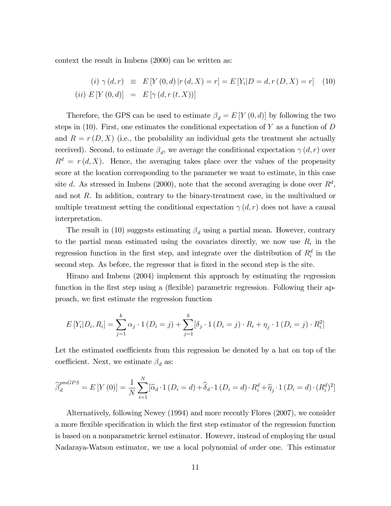context the result in Imbens (2000) can be written as:

$$
(i) \ \gamma(d,r) \equiv E[Y(0,d) | r(d,X) = r] = E[Y_i | D = d, r(D,X) = r] \tag{10}
$$
  

$$
(ii) \ E[Y(0,d)] = E[\gamma(d,r(t,X))]
$$

Therefore, the GPS can be used to estimate  $\beta_d = E[Y(0,d)]$  by following the two steps in  $(10)$ . First, one estimates the conditional expectation of Y as a function of D and  $R = r(D, X)$  (i.e., the probability an individual gets the treatment she actually received). Second, to estimate  $\beta_d$ , we average the conditional expectation  $\gamma(d,r)$  over  $R^d = r(d, X)$ . Hence, the averaging takes place over the values of the propensity score at the location corresponding to the parameter we want to estimate, in this case site d. As stressed in Imbens (2000), note that the second averaging is done over  $R^d$ , and not R. In addition, contrary to the binary-treatment case, in the multivalued or multiple treatment setting the conditional expectation  $\gamma(d, r)$  does not have a causal interpretation.

The result in (10) suggests estimating  $\beta_d$  using a partial mean. However, contrary to the partial mean estimated using the covariates directly, we now use  $R_i$  in the regression function in the first step, and integrate over the distribution of  $R_i^d$  in the second step. As before, the regressor that is fixed in the second step is the site.

Hirano and Imbens (2004) implement this approach by estimating the regression function in the first step using a (flexible) parametric regression. Following their approach, we Örst estimate the regression function

$$
E[Y_i|D_i, R_i] = \sum_{j=1}^k \alpha_j \cdot 1 (D_i = j) + \sum_{j=1}^k [\delta_j \cdot 1 (D_i = j) \cdot R_i + \eta_j \cdot 1 (D_i = j) \cdot R_i^2]
$$

Let the estimated coefficients from this regression be denoted by a hat on top of the coefficient. Next, we estimate  $\beta_d$  as:

$$
\widehat{\beta}_d^{pmGPS} = E\left[Y\left(0\right)\right] = \frac{1}{N} \sum_{i=1}^N \left[\widehat{\alpha}_d \cdot 1\left(D_i = d\right) + \widehat{\delta}_d \cdot 1\left(D_i = d\right) \cdot R_i^d + \widehat{\eta}_j \cdot 1\left(D_i = d\right) \cdot (R_i^d)^2\right]
$$

Alternatively, following Newey (1994) and more recently Flores (2007), we consider a more flexible specification in which the first step estimator of the regression function is based on a nonparametric kernel estimator. However, instead of employing the usual Nadaraya-Watson estimator, we use a local polynomial of order one. This estimator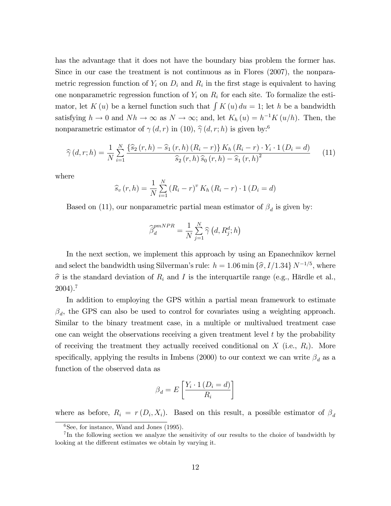has the advantage that it does not have the boundary bias problem the former has. Since in our case the treatment is not continuous as in Flores (2007), the nonparametric regression function of  $Y_i$  on  $D_i$  and  $R_i$  in the first stage is equivalent to having one nonparametric regression function of  $Y_i$  on  $R_i$  for each site. To formalize the estimator, let K (u) be a kernel function such that  $\int K(u) du = 1$ ; let h be a bandwidth satisfying  $h \to 0$  and  $Nh \to \infty$  as  $N \to \infty$ ; and, let  $K_h(u) = h^{-1}K(u/h)$ . Then, the nonparametric estimator of  $\gamma(d, r)$  in (10),  $\hat{\gamma}(d, r; h)$  is given by:<sup>6</sup>

$$
\widehat{\gamma}(d,r;h) = \frac{1}{N} \sum_{i=1}^{N} \frac{\{\widehat{s}_{2}(r,h) - \widehat{s}_{1}(r,h)(R_{i}-r)\} K_{h}(R_{i}-r) \cdot Y_{i} \cdot 1(D_{i}=d)}{\widehat{s}_{2}(r,h) \,\widehat{s}_{0}(r,h) - \widehat{s}_{1}(r,h)^{2}} \tag{11}
$$

where

$$
\widehat{s}_{v}(r, h) = \frac{1}{N} \sum_{i=1}^{N} (R_{i} - r)^{v} K_{h} (R_{i} - r) \cdot 1 (D_{i} = d)
$$

Based on (11), our nonparametric partial mean estimator of  $\beta_d$  is given by:

$$
\widehat{\beta}_d^{pmNPR} = \frac{1}{N} \sum_{j=1}^N \widehat{\gamma} \left( d, R_j^d; h \right)
$$

In the next section, we implement this approach by using an Epanechnikov kernel and select the bandwidth using Silverman's rule:  $h = 1.06 \text{ min } \{\hat{\sigma}, I/1.34\} N^{-1/5}$ , where  $\hat{\sigma}$  is the standard deviation of  $R_i$  and I is the interquartile range (e.g., Härdle et al.,  $2004$ ).<sup>7</sup>

In addition to employing the GPS within a partial mean framework to estimate  $\beta_d$ , the GPS can also be used to control for covariates using a weighting approach. Similar to the binary treatment case, in a multiple or multivalued treatment case one can weight the observations receiving a given treatment level  $t$  by the probability of receiving the treatment they actually received conditional on  $X$  (i.e.,  $R_i$ ). More specifically, applying the results in Imbens (2000) to our context we can write  $\beta_d$  as a function of the observed data as

$$
\beta_d = E\left[\frac{Y_i \cdot 1\left(D_i = d\right)}{R_i}\right]
$$

where as before,  $R_i = r(D_i, X_i)$ . Based on this result, a possible estimator of  $\beta_d$ 

 $6$ See, for instance, Wand and Jones (1995).

<sup>&</sup>lt;sup>7</sup>In the following section we analyze the sensitivity of our results to the choice of bandwidth by looking at the different estimates we obtain by varying it.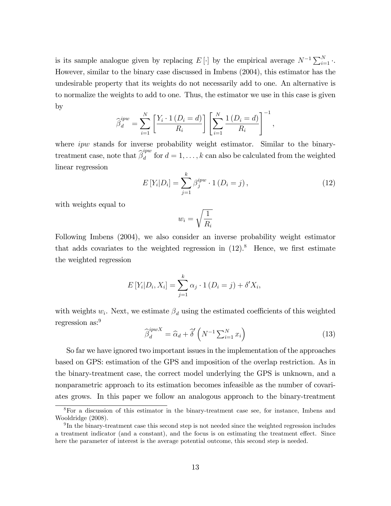is its sample analogue given by replacing E[ $\cdot$ ] by the empirical average  $N^{-1} \sum_{i=1}^{N} \cdot$ . However, similar to the binary case discussed in Imbens (2004), this estimator has the undesirable property that its weights do not necessarily add to one. An alternative is to normalize the weights to add to one. Thus, the estimator we use in this case is given by

$$
\widehat{\beta}_d^{ipw} = \sum_{i=1}^N \left[ \frac{Y_i \cdot 1\left(D_i = d\right)}{R_i} \right] \left[ \sum_{i=1}^N \frac{1\left(D_i = d\right)}{R_i} \right]^{-1},
$$

where *ipw* stands for inverse probability weight estimator. Similar to the binarytreatment case, note that  $\widehat{\beta}_d^{ipw}$  $\frac{d}{d}$  for  $d = 1, \ldots, k$  can also be calculated from the weighted linear regression

$$
E[Y_i|D_i] = \sum_{j=1}^{k} \beta_j^{ipw} \cdot 1 (D_i = j), \qquad (12)
$$

with weights equal to

$$
w_i = \sqrt{\frac{1}{R_i}}
$$

Following Imbens (2004), we also consider an inverse probability weight estimator that adds covariates to the weighted regression in  $(12)^{8}$ . Hence, we first estimate the weighted regression

$$
E[Y_i|D_i, X_i] = \sum_{j=1}^k \alpha_j \cdot 1 (D_i = j) + \delta' X_i,
$$

with weights  $w_i$ . Next, we estimate  $\beta_d$  using the estimated coefficients of this weighted regression as:<sup>9</sup>

$$
\widehat{\beta}_d^{ipwX} = \widehat{\alpha}_d + \widehat{\delta}'\left(N^{-1}\sum_{i=1}^N x_i\right) \tag{13}
$$

So far we have ignored two important issues in the implementation of the approaches based on GPS: estimation of the GPS and imposition of the overlap restriction. As in the binary-treatment case, the correct model underlying the GPS is unknown, and a nonparametric approach to its estimation becomes infeasible as the number of covariates grows. In this paper we follow an analogous approach to the binary-treatment

<sup>8</sup>For a discussion of this estimator in the binary-treatment case see, for instance, Imbens and Wooldridge (2008).

<sup>&</sup>lt;sup>9</sup>In the binary-treatment case this second step is not needed since the weighted regression includes a treatment indicator (and a constant), and the focus is on estimating the treatment effect. Since here the parameter of interest is the average potential outcome, this second step is needed.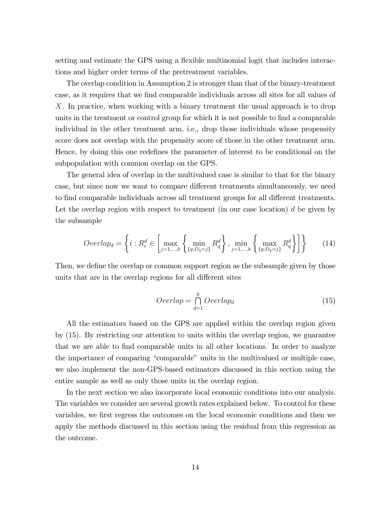setting and estimate the GPS using a flexible multinomial logit that includes interactions and higher order terms of the pretreatment variables.

The overlap condition in Assumption 2 is stronger than that of the binary-treatment case, as it requires that we find comparable individuals across all sites for all values of X. In practice, when working with a binary treatment the usual approach is to drop units in the treatment or control group for which it is not possible to find a comparable individual in the other treatment arm, i.e., drop those individuals whose propensity score does not overlap with the propensity score of those in the other treatment arm. Hence, by doing this one redefines the parameter of interest to be conditional on the subpopulation with common overlap on the GPS.

The general idea of overlap in the multivalued case is similar to that for the binary case, but since now we want to compare different treatments simultaneously, we need to find comparable individuals across all treatment groups for all different treatments. Let the overlap region with respect to treatment (in our case location)  $d$  be given by the subsample

$$
Overlap_d = \left\{ i : R_i^d \in \left[ \max_{j=1,\dots,k} \left\{ \min_{\{q: D_q = j\}} R_q^d \right\}, \min_{j=1,\dots,k} \left\{ \max_{\{q: D_q = j\}} R_q^d \right\} \right] \right\}
$$
(14)

Then, we define the overlap or common support region as the subsample given by those units that are in the overlap regions for all different sites

$$
Overlap = \bigcap_{d=1}^{k} Overlap_d \tag{15}
$$

All the estimators based on the GPS are applied within the overlap region given by (15). By restricting our attention to units within the overlap region, we guarantee that we are able to find comparable units in all other locations. In order to analyze the importance of comparing "comparable" units in the multivalued or multiple case, we also implement the non-GPS-based estimators discussed in this section using the entire sample as well as only those units in the overlap region.

In the next section we also incorporate local economic conditions into our analysis. The variables we consider are several growth rates explained below. To control for these variables, we first regress the outcomes on the local economic conditions and then we apply the methods discussed in this section using the residual from this regression as the outcome.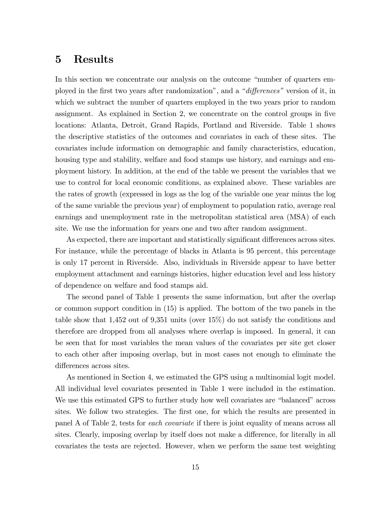### 5 Results

In this section we concentrate our analysis on the outcome "number of quarters employed in the first two years after randomization", and a "*differences*" version of it, in which we subtract the number of quarters employed in the two years prior to random assignment. As explained in Section 2, we concentrate on the control groups in five locations: Atlanta, Detroit, Grand Rapids, Portland and Riverside. Table 1 shows the descriptive statistics of the outcomes and covariates in each of these sites. The covariates include information on demographic and family characteristics, education, housing type and stability, welfare and food stamps use history, and earnings and employment history. In addition, at the end of the table we present the variables that we use to control for local economic conditions, as explained above. These variables are the rates of growth (expressed in logs as the log of the variable one year minus the log of the same variable the previous year) of employment to population ratio, average real earnings and unemployment rate in the metropolitan statistical area (MSA) of each site. We use the information for years one and two after random assignment.

As expected, there are important and statistically significant differences across sites. For instance, while the percentage of blacks in Atlanta is 95 percent, this percentage is only 17 percent in Riverside. Also, individuals in Riverside appear to have better employment attachment and earnings histories, higher education level and less history of dependence on welfare and food stamps aid.

The second panel of Table 1 presents the same information, but after the overlap or common support condition in (15) is applied. The bottom of the two panels in the table show that 1,452 out of 9,351 units (over 15%) do not satisfy the conditions and therefore are dropped from all analyses where overlap is imposed. In general, it can be seen that for most variables the mean values of the covariates per site get closer to each other after imposing overlap, but in most cases not enough to eliminate the differences across sites.

As mentioned in Section 4, we estimated the GPS using a multinomial logit model. All individual level covariates presented in Table 1 were included in the estimation. We use this estimated GPS to further study how well covariates are "balanced" across sites. We follow two strategies. The first one, for which the results are presented in panel A of Table 2, tests for each covariate if there is joint equality of means across all sites. Clearly, imposing overlap by itself does not make a difference, for literally in all covariates the tests are rejected. However, when we perform the same test weighting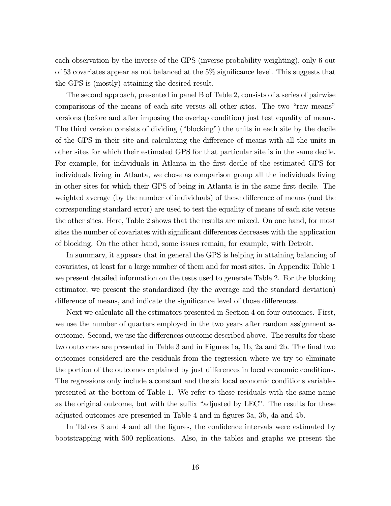each observation by the inverse of the GPS (inverse probability weighting), only 6 out of 53 covariates appear as not balanced at the  $5\%$  significance level. This suggests that the GPS is (mostly) attaining the desired result.

The second approach, presented in panel B of Table 2, consists of a series of pairwise comparisons of the means of each site versus all other sites. The two "raw means" versions (before and after imposing the overlap condition) just test equality of means. The third version consists of dividing ("blocking") the units in each site by the decile of the GPS in their site and calculating the difference of means with all the units in other sites for which their estimated GPS for that particular site is in the same decile. For example, for individuals in Atlanta in the first decile of the estimated GPS for individuals living in Atlanta, we chose as comparison group all the individuals living in other sites for which their GPS of being in Atlanta is in the same first decile. The weighted average (by the number of individuals) of these difference of means (and the corresponding standard error) are used to test the equality of means of each site versus the other sites. Here, Table 2 shows that the results are mixed. On one hand, for most sites the number of covariates with significant differences decreases with the application of blocking. On the other hand, some issues remain, for example, with Detroit.

In summary, it appears that in general the GPS is helping in attaining balancing of covariates, at least for a large number of them and for most sites. In Appendix Table 1 we present detailed information on the tests used to generate Table 2. For the blocking estimator, we present the standardized (by the average and the standard deviation) difference of means, and indicate the significance level of those differences.

Next we calculate all the estimators presented in Section 4 on four outcomes. First, we use the number of quarters employed in the two years after random assignment as outcome. Second, we use the differences outcome described above. The results for these two outcomes are presented in Table 3 and in Figures 1a, 1b, 2a and 2b. The final two outcomes considered are the residuals from the regression where we try to eliminate the portion of the outcomes explained by just differences in local economic conditions. The regressions only include a constant and the six local economic conditions variables presented at the bottom of Table 1. We refer to these residuals with the same name as the original outcome, but with the suffix "adjusted by LEC". The results for these adjusted outcomes are presented in Table 4 and in figures 3a, 3b, 4a and 4b.

In Tables 3 and 4 and all the figures, the confidence intervals were estimated by bootstrapping with 500 replications. Also, in the tables and graphs we present the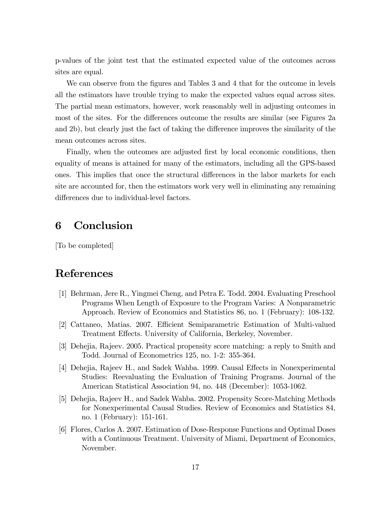p-values of the joint test that the estimated expected value of the outcomes across sites are equal.

We can observe from the figures and Tables 3 and 4 that for the outcome in levels all the estimators have trouble trying to make the expected values equal across sites. The partial mean estimators, however, work reasonably well in adjusting outcomes in most of the sites. For the differences outcome the results are similar (see Figures 2a and 2b), but clearly just the fact of taking the difference improves the similarity of the mean outcomes across sites.

Finally, when the outcomes are adjusted first by local economic conditions, then equality of means is attained for many of the estimators, including all the GPS-based ones. This implies that once the structural differences in the labor markets for each site are accounted for, then the estimators work very well in eliminating any remaining differences due to individual-level factors.

## 6 Conclusion

[To be completed]

# References

- [1] Behrman, Jere R., Yingmei Cheng, and Petra E. Todd. 2004. Evaluating Preschool Programs When Length of Exposure to the Program Varies: A Nonparametric Approach. Review of Economics and Statistics 86, no. 1 (February): 108-132.
- [2] Cattaneo, Matias. 2007. Efficient Semiparametric Estimation of Multi-valued Treatment Effects. University of California, Berkeley, November.
- [3] Dehejia, Rajeev. 2005. Practical propensity score matching: a reply to Smith and Todd. Journal of Econometrics 125, no. 1-2: 355-364.
- [4] Dehejia, Rajeev H., and Sadek Wahba. 1999. Causal Effects in Nonexperimental Studies: Reevaluating the Evaluation of Training Programs. Journal of the American Statistical Association 94, no. 448 (December): 1053-1062.
- [5] Dehejia, Rajeev H., and Sadek Wahba. 2002. Propensity Score-Matching Methods for Nonexperimental Causal Studies. Review of Economics and Statistics 84, no. 1 (February): 151-161.
- [6] Flores, Carlos A. 2007. Estimation of Dose-Response Functions and Optimal Doses with a Continuous Treatment. University of Miami, Department of Economics, November.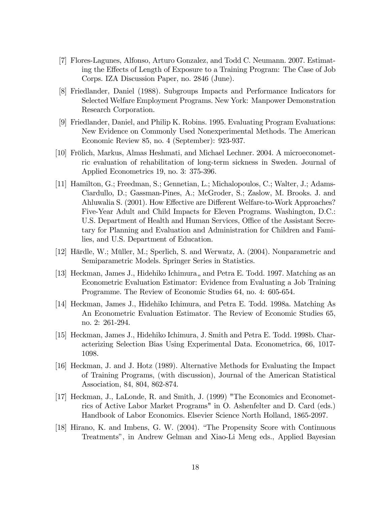- [7] Flores-Lagunes, Alfonso, Arturo Gonzalez, and Todd C. Neumann. 2007. Estimating the Effects of Length of Exposure to a Training Program: The Case of Job Corps. IZA Discussion Paper, no. 2846 (June).
- [8] Friedlander, Daniel (1988). Subgroups Impacts and Performance Indicators for Selected Welfare Employment Programs. New York: Manpower Demonstration Research Corporation.
- [9] Friedlander, Daniel, and Philip K. Robins. 1995. Evaluating Program Evaluations: New Evidence on Commonly Used Nonexperimental Methods. The American Economic Review 85, no. 4 (September): 923-937.
- [10] Frölich, Markus, Almas Heshmati, and Michael Lechner. 2004. A microeconometric evaluation of rehabilitation of long-term sickness in Sweden. Journal of Applied Econometrics 19, no. 3: 375-396.
- [11] Hamilton, G.; Freedman, S.; Gennetian, L.; Michalopoulos, C.; Walter, J.; Adams-Ciardullo, D.; Gassman-Pines, A.; McGroder, S.; Zaslow, M. Brooks. J. and Ahluwalia S. (2001). How Effective are Different Welfare-to-Work Approaches? Five-Year Adult and Child Impacts for Eleven Programs. Washington, D.C.: U.S. Department of Health and Human Services, Office of the Assistant Secretary for Planning and Evaluation and Administration for Children and Families, and U.S. Department of Education.
- [12] Härdle, W.; Müller, M.; Sperlich, S. and Werwatz, A. (2004). Nonparametric and Semiparametric Models. Springer Series in Statistics.
- [13] Heckman, James J., Hidehiko Ichimura,, and Petra E. Todd. 1997. Matching as an Econometric Evaluation Estimator: Evidence from Evaluating a Job Training Programme. The Review of Economic Studies 64, no. 4: 605-654.
- [14] Heckman, James J., Hidehiko Ichimura, and Petra E. Todd. 1998a. Matching As An Econometric Evaluation Estimator. The Review of Economic Studies 65, no. 2: 261-294.
- [15] Heckman, James J., Hidehiko Ichimura, J. Smith and Petra E. Todd. 1998b. Characterizing Selection Bias Using Experimental Data. Econometrica, 66, 1017- 1098.
- [16] Heckman, J. and J. Hotz (1989). Alternative Methods for Evaluating the Impact of Training Programs, (with discussion), Journal of the American Statistical Association, 84, 804, 862-874.
- [17] Heckman, J., LaLonde, R. and Smith, J. (1999) "The Economics and Econometrics of Active Labor Market Programs" in O. Ashenfelter and D. Card (eds.) Handbook of Labor Economics. Elsevier Science North Holland, 1865-2097.
- [18] Hirano, K. and Imbens, G. W. (2004). "The Propensity Score with Continuous Treatmentsî, in Andrew Gelman and Xiao-Li Meng eds., Applied Bayesian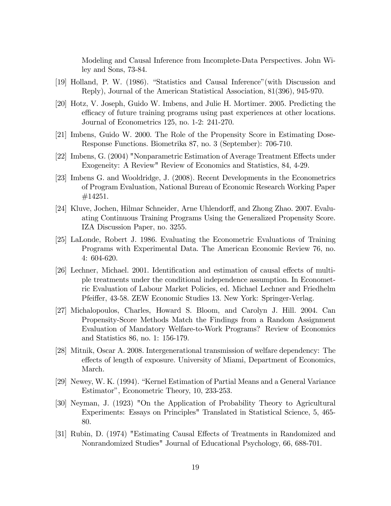Modeling and Causal Inference from Incomplete-Data Perspectives. John Wiley and Sons, 73-84.

- [19] Holland, P. W. (1986). "Statistics and Causal Inference" (with Discussion and Reply), Journal of the American Statistical Association, 81(396), 945-970.
- [20] Hotz, V. Joseph, Guido W. Imbens, and Julie H. Mortimer. 2005. Predicting the efficacy of future training programs using past experiences at other locations. Journal of Econometrics 125, no. 1-2: 241-270.
- [21] Imbens, Guido W. 2000. The Role of the Propensity Score in Estimating Dose-Response Functions. Biometrika 87, no. 3 (September): 706-710.
- [22] Imbens, G. (2004) "Nonparametric Estimation of Average Treatment Effects under Exogeneity: A Review" Review of Economics and Statistics, 84, 4-29.
- [23] Imbens G. and Wooldridge, J. (2008). Recent Developments in the Econometrics of Program Evaluation, National Bureau of Economic Research Working Paper #14251.
- [24] Kluve, Jochen, Hilmar Schneider, Arne Uhlendorff, and Zhong Zhao. 2007. Evaluating Continuous Training Programs Using the Generalized Propensity Score. IZA Discussion Paper, no. 3255.
- [25] LaLonde, Robert J. 1986. Evaluating the Econometric Evaluations of Training Programs with Experimental Data. The American Economic Review 76, no. 4: 604-620.
- [26] Lechner, Michael. 2001. Identification and estimation of causal effects of multiple treatments under the conditional independence assumption. In Econometric Evaluation of Labour Market Policies, ed. Michael Lechner and Friedhelm Pfeiffer, 43-58. ZEW Economic Studies 13. New York: Springer-Verlag.
- [27] Michalopoulos, Charles, Howard S. Bloom, and Carolyn J. Hill. 2004. Can Propensity-Score Methods Match the Findings from a Random Assignment Evaluation of Mandatory Welfare-to-Work Programs? Review of Economics and Statistics 86, no. 1: 156-179.
- [28] Mitnik, Oscar A. 2008. Intergenerational transmission of welfare dependency: The effects of length of exposure. University of Miami, Department of Economics, March.
- $[29]$  Newey, W. K.  $(1994)$ . "Kernel Estimation of Partial Means and a General Variance Estimator", Econometric Theory, 10, 233-253.
- [30] Neyman, J. (1923) "On the Application of Probability Theory to Agricultural Experiments: Essays on Principles" Translated in Statistical Science, 5, 465- 80.
- [31] Rubin, D. (1974) "Estimating Causal Effects of Treatments in Randomized and Nonrandomized Studies" Journal of Educational Psychology, 66, 688-701.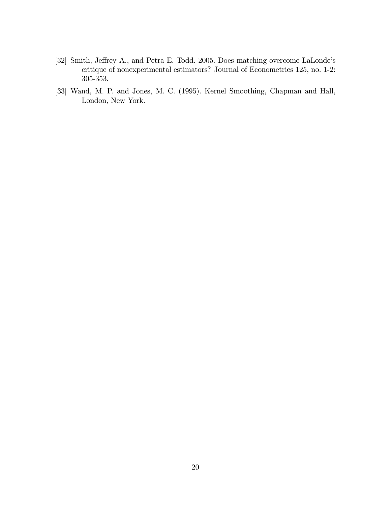- [32] Smith, Jeffrey A., and Petra E. Todd. 2005. Does matching overcome LaLonde's critique of nonexperimental estimators? Journal of Econometrics 125, no. 1-2: 305-353.
- [33] Wand, M. P. and Jones, M. C. (1995). Kernel Smoothing, Chapman and Hall, London, New York.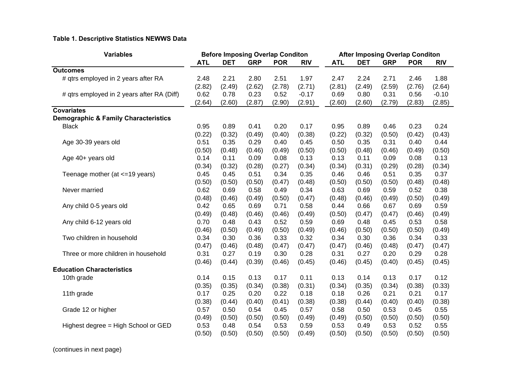#### **Table 1. Descriptive Statistics NEWWS Data**

| <b>Variables</b>                                |            | <b>Before Imposing Overlap Conditon</b> |            |            |            | <b>After Imposing Overlap Conditon</b> |            |            |            |            |  |  |
|-------------------------------------------------|------------|-----------------------------------------|------------|------------|------------|----------------------------------------|------------|------------|------------|------------|--|--|
|                                                 | <b>ATL</b> | <b>DET</b>                              | <b>GRP</b> | <b>POR</b> | <b>RIV</b> | <b>ATL</b>                             | <b>DET</b> | <b>GRP</b> | <b>POR</b> | <b>RIV</b> |  |  |
| <b>Outcomes</b>                                 |            |                                         |            |            |            |                                        |            |            |            |            |  |  |
| # qtrs employed in 2 years after RA             | 2.48       | 2.21                                    | 2.80       | 2.51       | 1.97       | 2.47                                   | 2.24       | 2.71       | 2.46       | 1.88       |  |  |
|                                                 | (2.82)     | (2.49)                                  | (2.62)     | (2.78)     | (2.71)     | (2.81)                                 | (2.49)     | (2.59)     | (2.76)     | (2.64)     |  |  |
| # qtrs employed in 2 years after RA (Diff)      | 0.62       | 0.78                                    | 0.23       | 0.52       | $-0.17$    | 0.69                                   | 0.80       | 0.31       | 0.56       | $-0.10$    |  |  |
|                                                 | (2.64)     | (2.60)                                  | (2.87)     | (2.90)     | (2.91)     | (2.60)                                 | (2.60)     | (2.79)     | (2.83)     | (2.85)     |  |  |
| <b>Covariates</b>                               |            |                                         |            |            |            |                                        |            |            |            |            |  |  |
| <b>Demographic &amp; Family Characteristics</b> |            |                                         |            |            |            |                                        |            |            |            |            |  |  |
| <b>Black</b>                                    | 0.95       | 0.89                                    | 0.41       | 0.20       | 0.17       | 0.95                                   | 0.89       | 0.46       | 0.23       | 0.24       |  |  |
|                                                 | (0.22)     | (0.32)                                  | (0.49)     | (0.40)     | (0.38)     | (0.22)                                 | (0.32)     | (0.50)     | (0.42)     | (0.43)     |  |  |
| Age 30-39 years old                             | 0.51       | 0.35                                    | 0.29       | 0.40       | 0.45       | 0.50                                   | 0.35       | 0.31       | 0.40       | 0.44       |  |  |
|                                                 | (0.50)     | (0.48)                                  | (0.46)     | (0.49)     | (0.50)     | (0.50)                                 | (0.48)     | (0.46)     | (0.49)     | (0.50)     |  |  |
| Age 40+ years old                               | 0.14       | 0.11                                    | 0.09       | 0.08       | 0.13       | 0.13                                   | 0.11       | 0.09       | 0.08       | 0.13       |  |  |
|                                                 | (0.34)     | (0.32)                                  | (0.28)     | (0.27)     | (0.34)     | (0.34)                                 | (0.31)     | (0.29)     | (0.28)     | (0.34)     |  |  |
| Teenage mother (at <=19 years)                  | 0.45       | 0.45                                    | 0.51       | 0.34       | 0.35       | 0.46                                   | 0.46       | 0.51       | 0.35       | 0.37       |  |  |
|                                                 | (0.50)     | (0.50)                                  | (0.50)     | (0.47)     | (0.48)     | (0.50)                                 | (0.50)     | (0.50)     | (0.48)     | (0.48)     |  |  |
| Never married                                   | 0.62       | 0.69                                    | 0.58       | 0.49       | 0.34       | 0.63                                   | 0.69       | 0.59       | 0.52       | 0.38       |  |  |
|                                                 | (0.48)     | (0.46)                                  | (0.49)     | (0.50)     | (0.47)     | (0.48)                                 | (0.46)     | (0.49)     | (0.50)     | (0.49)     |  |  |
| Any child 0-5 years old                         | 0.42       | 0.65                                    | 0.69       | 0.71       | 0.58       | 0.44                                   | 0.66       | 0.67       | 0.69       | 0.59       |  |  |
|                                                 | (0.49)     | (0.48)                                  | (0.46)     | (0.46)     | (0.49)     | (0.50)                                 | (0.47)     | (0.47)     | (0.46)     | (0.49)     |  |  |
| Any child 6-12 years old                        | 0.70       | 0.48                                    | 0.43       | 0.52       | 0.59       | 0.69                                   | 0.48       | 0.45       | 0.53       | 0.58       |  |  |
|                                                 | (0.46)     | (0.50)                                  | (0.49)     | (0.50)     | (0.49)     | (0.46)                                 | (0.50)     | (0.50)     | (0.50)     | (0.49)     |  |  |
| Two children in household                       | 0.34       | 0.30                                    | 0.36       | 0.33       | 0.32       | 0.34                                   | 0.30       | 0.36       | 0.34       | 0.33       |  |  |
|                                                 | (0.47)     | (0.46)                                  | (0.48)     | (0.47)     | (0.47)     | (0.47)                                 | (0.46)     | (0.48)     | (0.47)     | (0.47)     |  |  |
| Three or more children in household             | 0.31       | 0.27                                    | 0.19       | 0.30       | 0.28       | 0.31                                   | 0.27       | 0.20       | 0.29       | 0.28       |  |  |
|                                                 | (0.46)     | (0.44)                                  | (0.39)     | (0.46)     | (0.45)     | (0.46)                                 | (0.45)     | (0.40)     | (0.45)     | (0.45)     |  |  |
| <b>Education Characteristics</b>                |            |                                         |            |            |            |                                        |            |            |            |            |  |  |
| 10th grade                                      | 0.14       | 0.15                                    | 0.13       | 0.17       | 0.11       | 0.13                                   | 0.14       | 0.13       | 0.17       | 0.12       |  |  |
|                                                 | (0.35)     | (0.35)                                  | (0.34)     | (0.38)     | (0.31)     | (0.34)                                 | (0.35)     | (0.34)     | (0.38)     | (0.33)     |  |  |
| 11th grade                                      | 0.17       | 0.25                                    | 0.20       | 0.22       | 0.18       | 0.18                                   | 0.26       | 0.21       | 0.21       | 0.17       |  |  |
|                                                 | (0.38)     | (0.44)                                  | (0.40)     | (0.41)     | (0.38)     | (0.38)                                 | (0.44)     | (0.40)     | (0.40)     | (0.38)     |  |  |
| Grade 12 or higher                              | 0.57       | 0.50                                    | 0.54       | 0.45       | 0.57       | 0.58                                   | 0.50       | 0.53       | 0.45       | 0.55       |  |  |
|                                                 | (0.49)     | (0.50)                                  | (0.50)     | (0.50)     | (0.49)     | (0.49)                                 | (0.50)     | (0.50)     | (0.50)     | (0.50)     |  |  |
| Highest degree = High School or GED             | 0.53       | 0.48                                    | 0.54       | 0.53       | 0.59       | 0.53                                   | 0.49       | 0.53       | 0.52       | 0.55       |  |  |
|                                                 | (0.50)     | (0.50)                                  | (0.50)     | (0.50)     | (0.49)     | (0.50)                                 | (0.50)     | (0.50)     | (0.50)     | (0.50)     |  |  |

(continues in next page)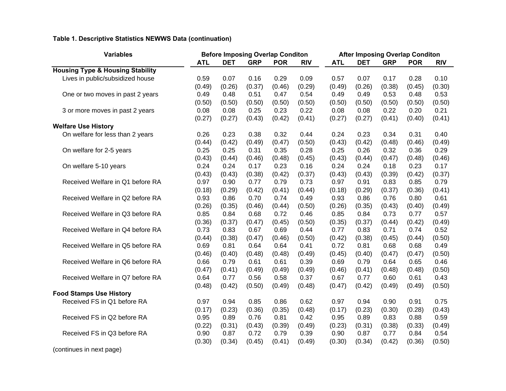### **Table 1. Descriptive Statistics NEWWS Data (continuation)**

| <b>Variables</b>                            |            |            | <b>Before Imposing Overlap Conditon</b> |            | <b>After Imposing Overlap Conditon</b> |            |            |            |            |            |  |
|---------------------------------------------|------------|------------|-----------------------------------------|------------|----------------------------------------|------------|------------|------------|------------|------------|--|
|                                             | <b>ATL</b> | <b>DET</b> | <b>GRP</b>                              | <b>POR</b> | <b>RIV</b>                             | <b>ATL</b> | <b>DET</b> | <b>GRP</b> | <b>POR</b> | <b>RIV</b> |  |
| <b>Housing Type &amp; Housing Stability</b> |            |            |                                         |            |                                        |            |            |            |            |            |  |
| Lives in public/subsidized house            | 0.59       | 0.07       | 0.16                                    | 0.29       | 0.09                                   | 0.57       | 0.07       | 0.17       | 0.28       | 0.10       |  |
|                                             | (0.49)     | (0.26)     | (0.37)                                  | (0.46)     | (0.29)                                 | (0.49)     | (0.26)     | (0.38)     | (0.45)     | (0.30)     |  |
| One or two moves in past 2 years            | 0.49       | 0.48       | 0.51                                    | 0.47       | 0.54                                   | 0.49       | 0.49       | 0.53       | 0.48       | 0.53       |  |
|                                             | (0.50)     | (0.50)     | (0.50)                                  | (0.50)     | (0.50)                                 | (0.50)     | (0.50)     | (0.50)     | (0.50)     | (0.50)     |  |
| 3 or more moves in past 2 years             | 0.08       | 0.08       | 0.25                                    | 0.23       | 0.22                                   | 0.08       | 0.08       | 0.22       | 0.20       | 0.21       |  |
|                                             | (0.27)     | (0.27)     | (0.43)                                  | (0.42)     | (0.41)                                 | (0.27)     | (0.27)     | (0.41)     | (0.40)     | (0.41)     |  |
| <b>Welfare Use History</b>                  |            |            |                                         |            |                                        |            |            |            |            |            |  |
| On welfare for less than 2 years            | 0.26       | 0.23       | 0.38                                    | 0.32       | 0.44                                   | 0.24       | 0.23       | 0.34       | 0.31       | 0.40       |  |
|                                             | (0.44)     | (0.42)     | (0.49)                                  | (0.47)     | (0.50)                                 | (0.43)     | (0.42)     | (0.48)     | (0.46)     | (0.49)     |  |
| On welfare for 2-5 years                    | 0.25       | 0.25       | 0.31                                    | 0.35       | 0.28                                   | 0.25       | 0.26       | 0.32       | 0.36       | 0.29       |  |
|                                             | (0.43)     | (0.44)     | (0.46)                                  | (0.48)     | (0.45)                                 | (0.43)     | (0.44)     | (0.47)     | (0.48)     | (0.46)     |  |
| On welfare 5-10 years                       | 0.24       | 0.24       | 0.17                                    | 0.23       | 0.16                                   | 0.24       | 0.24       | 0.18       | 0.23       | 0.17       |  |
|                                             | (0.43)     | (0.43)     | (0.38)                                  | (0.42)     | (0.37)                                 | (0.43)     | (0.43)     | (0.39)     | (0.42)     | (0.37)     |  |
| Received Welfare in Q1 before RA            | 0.97       | 0.90       | 0.77                                    | 0.79       | 0.73                                   | 0.97       | 0.91       | 0.83       | 0.85       | 0.79       |  |
|                                             | (0.18)     | (0.29)     | (0.42)                                  | (0.41)     | (0.44)                                 | (0.18)     | (0.29)     | (0.37)     | (0.36)     | (0.41)     |  |
| Received Welfare in Q2 before RA            | 0.93       | 0.86       | 0.70                                    | 0.74       | 0.49                                   | 0.93       | 0.86       | 0.76       | 0.80       | 0.61       |  |
|                                             | (0.26)     | (0.35)     | (0.46)                                  | (0.44)     | (0.50)                                 | (0.26)     | (0.35)     | (0.43)     | (0.40)     | (0.49)     |  |
| Received Welfare in Q3 before RA            | 0.85       | 0.84       | 0.68                                    | 0.72       | 0.46                                   | 0.85       | 0.84       | 0.73       | 0.77       | 0.57       |  |
|                                             | (0.36)     | (0.37)     | (0.47)                                  | (0.45)     | (0.50)                                 | (0.35)     | (0.37)     | (0.44)     | (0.42)     | (0.49)     |  |
| Received Welfare in Q4 before RA            | 0.73       | 0.83       | 0.67                                    | 0.69       | 0.44                                   | 0.77       | 0.83       | 0.71       | 0.74       | 0.52       |  |
|                                             | (0.44)     | (0.38)     | (0.47)                                  | (0.46)     | (0.50)                                 | (0.42)     | (0.38)     | (0.45)     | (0.44)     | (0.50)     |  |
| Received Welfare in Q5 before RA            | 0.69       | 0.81       | 0.64                                    | 0.64       | 0.41                                   | 0.72       | 0.81       | 0.68       | 0.68       | 0.49       |  |
|                                             | (0.46)     | (0.40)     | (0.48)                                  | (0.48)     | (0.49)                                 | (0.45)     | (0.40)     | (0.47)     | (0.47)     | (0.50)     |  |
| Received Welfare in Q6 before RA            | 0.66       | 0.79       | 0.61                                    | 0.61       | 0.39                                   | 0.69       | 0.79       | 0.64       | 0.65       | 0.46       |  |
|                                             | (0.47)     | (0.41)     | (0.49)                                  | (0.49)     | (0.49)                                 | (0.46)     | (0.41)     | (0.48)     | (0.48)     | (0.50)     |  |
| Received Welfare in Q7 before RA            | 0.64       | 0.77       | 0.56                                    | 0.58       | 0.37                                   | 0.67       | 0.77       | 0.60       | 0.61       | 0.43       |  |
|                                             | (0.48)     | (0.42)     | (0.50)                                  | (0.49)     | (0.48)                                 | (0.47)     | (0.42)     | (0.49)     | (0.49)     | (0.50)     |  |
| <b>Food Stamps Use History</b>              |            |            |                                         |            |                                        |            |            |            |            |            |  |
| Received FS in Q1 before RA                 | 0.97       | 0.94       | 0.85                                    | 0.86       | 0.62                                   | 0.97       | 0.94       | 0.90       | 0.91       | 0.75       |  |
|                                             | (0.17)     | (0.23)     | (0.36)                                  | (0.35)     | (0.48)                                 | (0.17)     | (0.23)     | (0.30)     | (0.28)     | (0.43)     |  |
| Received FS in Q2 before RA                 | 0.95       | 0.89       | 0.76                                    | 0.81       | 0.42                                   | 0.95       | 0.89       | 0.83       | 0.88       | 0.59       |  |
|                                             | (0.22)     | (0.31)     | (0.43)                                  | (0.39)     | (0.49)                                 | (0.23)     | (0.31)     | (0.38)     | (0.33)     | (0.49)     |  |
| Received FS in Q3 before RA                 | 0.90       | 0.87       | 0.72                                    | 0.79       | 0.39                                   | 0.90       | 0.87       | 0.77       | 0.84       | 0.54       |  |
|                                             | (0.30)     | (0.34)     | (0.45)                                  | (0.41)     | (0.49)                                 | (0.30)     | (0.34)     | (0.42)     | (0.36)     | (0.50)     |  |
| (continues in next page)                    |            |            |                                         |            |                                        |            |            |            |            |            |  |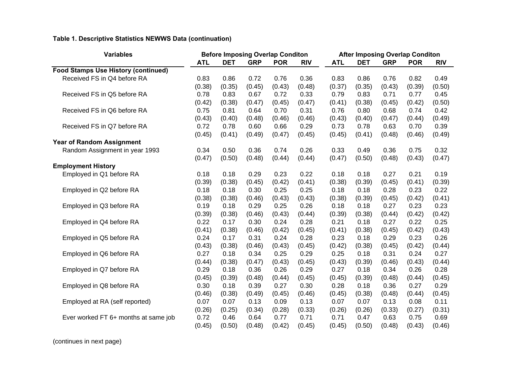### **Table 1. Descriptive Statistics NEWWS Data (continuation)**

| <b>DET</b><br><b>GRP</b><br><b>POR</b><br><b>ATL</b><br><b>DET</b><br><b>POR</b><br><b>ATL</b><br><b>RIV</b><br><b>GRP</b><br><b>RIV</b><br><b>Food Stamps Use History (continued)</b><br>Received FS in Q4 before RA<br>0.83<br>0.86<br>0.72<br>0.76<br>0.36<br>0.83<br>0.86<br>0.76<br>0.82<br>0.49<br>(0.48)<br>(0.39)<br>(0.38)<br>(0.35)<br>(0.45)<br>(0.43)<br>(0.37)<br>(0.35)<br>(0.43)<br>(0.50)<br>Received FS in Q5 before RA<br>0.78<br>0.67<br>0.33<br>0.79<br>0.83<br>0.71<br>0.77<br>0.45<br>0.83<br>0.72<br>(0.47)<br>(0.42)<br>(0.38)<br>(0.47)<br>(0.45)<br>(0.41)<br>(0.38)<br>(0.42)<br>(0.50)<br>(0.45)<br>Received FS in Q6 before RA<br>0.75<br>0.31<br>0.76<br>0.80<br>0.74<br>0.42<br>0.81<br>0.64<br>0.70<br>0.68<br>(0.43)<br>(0.40)<br>(0.46)<br>(0.43)<br>(0.49)<br>(0.48)<br>(0.46)<br>(0.40)<br>(0.47)<br>(0.44)<br>Received FS in Q7 before RA<br>0.72<br>0.78<br>0.60<br>0.29<br>0.73<br>0.78<br>0.63<br>0.70<br>0.39<br>0.66<br>(0.45)<br>(0.41)<br>(0.49)<br>(0.47)<br>(0.45)<br>(0.45)<br>(0.41)<br>(0.48)<br>(0.46)<br>(0.49)<br><b>Year of Random Assignment</b><br>0.50<br>0.36<br>0.74<br>0.26<br>0.33<br>0.49<br>0.36<br>0.75<br>0.32<br>Random Assignment in year 1993<br>0.34<br>(0.47)<br>(0.50)<br>(0.48)<br>(0.44)<br>(0.44)<br>(0.47)<br>(0.50)<br>(0.48)<br>(0.43)<br>(0.47)<br><b>Employment History</b><br>Employed in Q1 before RA<br>0.18<br>0.18<br>0.29<br>0.23<br>0.22<br>0.18<br>0.18<br>0.27<br>0.21<br>0.19<br>(0.39)<br>(0.41)<br>(0.38)<br>(0.39)<br>(0.38)<br>(0.45)<br>(0.42)<br>(0.39)<br>(0.45)<br>(0.41)<br>Employed in Q2 before RA<br>0.18<br>0.22<br>0.18<br>0.18<br>0.30<br>0.25<br>0.25<br>0.18<br>0.28<br>0.23<br>(0.38)<br>(0.38)<br>(0.43)<br>(0.38)<br>(0.42)<br>(0.41)<br>(0.46)<br>(0.43)<br>(0.39)<br>(0.45)<br>0.18<br>0.29<br>0.26<br>0.27<br>0.23<br>0.23<br>Employed in Q3 before RA<br>0.19<br>0.25<br>0.18<br>0.18<br>(0.39)<br>(0.38)<br>(0.44)<br>(0.39)<br>(0.42)<br>(0.42)<br>(0.46)<br>(0.43)<br>(0.38)<br>(0.44)<br>0.22<br>0.28<br>0.21<br>0.22<br>0.25<br>Employed in Q4 before RA<br>0.17<br>0.30<br>0.24<br>0.18<br>0.27<br>(0.41)<br>(0.41)<br>(0.38)<br>(0.46)<br>(0.42)<br>(0.45)<br>(0.38)<br>(0.42)<br>(0.43)<br>(0.45)<br>0.28<br>0.26<br>Employed in Q5 before RA<br>0.24<br>0.17<br>0.31<br>0.24<br>0.23<br>0.18<br>0.29<br>0.23<br>(0.38)<br>(0.45)<br>(0.42)<br>(0.44)<br>(0.43)<br>(0.46)<br>(0.43)<br>(0.38)<br>(0.45)<br>(0.42)<br>Employed in Q6 before RA<br>0.29<br>0.25<br>0.24<br>0.27<br>0.27<br>0.18<br>0.34<br>0.18<br>0.31<br>0.25<br>(0.43)<br>(0.44)<br>(0.38)<br>(0.47)<br>(0.43)<br>(0.45)<br>(0.39)<br>(0.46)<br>(0.43)<br>(0.44)<br>0.29<br>0.27<br>0.26<br>Employed in Q7 before RA<br>0.29<br>0.18<br>0.36<br>0.26<br>0.18<br>0.34<br>0.28<br>(0.39)<br>(0.45)<br>(0.45)<br>(0.39)<br>(0.44)<br>(0.45)<br>(0.45)<br>(0.48)<br>(0.44)<br>(0.48)<br>0.27<br>0.30<br>0.18<br>0.39<br>0.30<br>0.28<br>0.18<br>0.29<br>Employed in Q8 before RA<br>0.27<br>0.36<br>(0.45)<br>(0.38)<br>(0.45)<br>(0.46)<br>(0.38)<br>(0.49)<br>(0.45)<br>(0.46)<br>(0.48)<br>(0.44)<br>0.13<br>0.07<br>0.11<br>Employed at RA (self reported)<br>0.07<br>0.07<br>0.13<br>0.09<br>0.07<br>0.13<br>0.08<br>(0.26)<br>(0.25)<br>(0.34)<br>(0.28)<br>(0.33)<br>(0.26)<br>(0.26)<br>(0.33)<br>(0.27)<br>(0.31)<br>Ever worked FT 6+ months at same job<br>0.72<br>0.46<br>0.64<br>0.71<br>0.71<br>0.63<br>0.75<br>0.69<br>0.77<br>0.47<br>(0.45)<br>(0.50)<br>(0.48)<br>(0.42)<br>(0.45)<br>(0.50)<br>(0.48)<br>(0.43)<br>(0.45)<br>(0.46) | <b>Variables</b> |  | <b>Before Imposing Overlap Conditon</b> |  | <b>After Imposing Overlap Conditon</b> |  |  |  |  |  |  |
|---------------------------------------------------------------------------------------------------------------------------------------------------------------------------------------------------------------------------------------------------------------------------------------------------------------------------------------------------------------------------------------------------------------------------------------------------------------------------------------------------------------------------------------------------------------------------------------------------------------------------------------------------------------------------------------------------------------------------------------------------------------------------------------------------------------------------------------------------------------------------------------------------------------------------------------------------------------------------------------------------------------------------------------------------------------------------------------------------------------------------------------------------------------------------------------------------------------------------------------------------------------------------------------------------------------------------------------------------------------------------------------------------------------------------------------------------------------------------------------------------------------------------------------------------------------------------------------------------------------------------------------------------------------------------------------------------------------------------------------------------------------------------------------------------------------------------------------------------------------------------------------------------------------------------------------------------------------------------------------------------------------------------------------------------------------------------------------------------------------------------------------------------------------------------------------------------------------------------------------------------------------------------------------------------------------------------------------------------------------------------------------------------------------------------------------------------------------------------------------------------------------------------------------------------------------------------------------------------------------------------------------------------------------------------------------------------------------------------------------------------------------------------------------------------------------------------------------------------------------------------------------------------------------------------------------------------------------------------------------------------------------------------------------------------------------------------------------------------------------------------------------------------------------------------------------------------------------------------------------------------------------------------------------------------------------------------------------------------------------------------------------------------------------------------------------------------------------------------------------------------------------------------------------------|------------------|--|-----------------------------------------|--|----------------------------------------|--|--|--|--|--|--|
|                                                                                                                                                                                                                                                                                                                                                                                                                                                                                                                                                                                                                                                                                                                                                                                                                                                                                                                                                                                                                                                                                                                                                                                                                                                                                                                                                                                                                                                                                                                                                                                                                                                                                                                                                                                                                                                                                                                                                                                                                                                                                                                                                                                                                                                                                                                                                                                                                                                                                                                                                                                                                                                                                                                                                                                                                                                                                                                                                                                                                                                                                                                                                                                                                                                                                                                                                                                                                                                                                                                                             |                  |  |                                         |  |                                        |  |  |  |  |  |  |
|                                                                                                                                                                                                                                                                                                                                                                                                                                                                                                                                                                                                                                                                                                                                                                                                                                                                                                                                                                                                                                                                                                                                                                                                                                                                                                                                                                                                                                                                                                                                                                                                                                                                                                                                                                                                                                                                                                                                                                                                                                                                                                                                                                                                                                                                                                                                                                                                                                                                                                                                                                                                                                                                                                                                                                                                                                                                                                                                                                                                                                                                                                                                                                                                                                                                                                                                                                                                                                                                                                                                             |                  |  |                                         |  |                                        |  |  |  |  |  |  |
|                                                                                                                                                                                                                                                                                                                                                                                                                                                                                                                                                                                                                                                                                                                                                                                                                                                                                                                                                                                                                                                                                                                                                                                                                                                                                                                                                                                                                                                                                                                                                                                                                                                                                                                                                                                                                                                                                                                                                                                                                                                                                                                                                                                                                                                                                                                                                                                                                                                                                                                                                                                                                                                                                                                                                                                                                                                                                                                                                                                                                                                                                                                                                                                                                                                                                                                                                                                                                                                                                                                                             |                  |  |                                         |  |                                        |  |  |  |  |  |  |
|                                                                                                                                                                                                                                                                                                                                                                                                                                                                                                                                                                                                                                                                                                                                                                                                                                                                                                                                                                                                                                                                                                                                                                                                                                                                                                                                                                                                                                                                                                                                                                                                                                                                                                                                                                                                                                                                                                                                                                                                                                                                                                                                                                                                                                                                                                                                                                                                                                                                                                                                                                                                                                                                                                                                                                                                                                                                                                                                                                                                                                                                                                                                                                                                                                                                                                                                                                                                                                                                                                                                             |                  |  |                                         |  |                                        |  |  |  |  |  |  |
|                                                                                                                                                                                                                                                                                                                                                                                                                                                                                                                                                                                                                                                                                                                                                                                                                                                                                                                                                                                                                                                                                                                                                                                                                                                                                                                                                                                                                                                                                                                                                                                                                                                                                                                                                                                                                                                                                                                                                                                                                                                                                                                                                                                                                                                                                                                                                                                                                                                                                                                                                                                                                                                                                                                                                                                                                                                                                                                                                                                                                                                                                                                                                                                                                                                                                                                                                                                                                                                                                                                                             |                  |  |                                         |  |                                        |  |  |  |  |  |  |
|                                                                                                                                                                                                                                                                                                                                                                                                                                                                                                                                                                                                                                                                                                                                                                                                                                                                                                                                                                                                                                                                                                                                                                                                                                                                                                                                                                                                                                                                                                                                                                                                                                                                                                                                                                                                                                                                                                                                                                                                                                                                                                                                                                                                                                                                                                                                                                                                                                                                                                                                                                                                                                                                                                                                                                                                                                                                                                                                                                                                                                                                                                                                                                                                                                                                                                                                                                                                                                                                                                                                             |                  |  |                                         |  |                                        |  |  |  |  |  |  |
|                                                                                                                                                                                                                                                                                                                                                                                                                                                                                                                                                                                                                                                                                                                                                                                                                                                                                                                                                                                                                                                                                                                                                                                                                                                                                                                                                                                                                                                                                                                                                                                                                                                                                                                                                                                                                                                                                                                                                                                                                                                                                                                                                                                                                                                                                                                                                                                                                                                                                                                                                                                                                                                                                                                                                                                                                                                                                                                                                                                                                                                                                                                                                                                                                                                                                                                                                                                                                                                                                                                                             |                  |  |                                         |  |                                        |  |  |  |  |  |  |
|                                                                                                                                                                                                                                                                                                                                                                                                                                                                                                                                                                                                                                                                                                                                                                                                                                                                                                                                                                                                                                                                                                                                                                                                                                                                                                                                                                                                                                                                                                                                                                                                                                                                                                                                                                                                                                                                                                                                                                                                                                                                                                                                                                                                                                                                                                                                                                                                                                                                                                                                                                                                                                                                                                                                                                                                                                                                                                                                                                                                                                                                                                                                                                                                                                                                                                                                                                                                                                                                                                                                             |                  |  |                                         |  |                                        |  |  |  |  |  |  |
|                                                                                                                                                                                                                                                                                                                                                                                                                                                                                                                                                                                                                                                                                                                                                                                                                                                                                                                                                                                                                                                                                                                                                                                                                                                                                                                                                                                                                                                                                                                                                                                                                                                                                                                                                                                                                                                                                                                                                                                                                                                                                                                                                                                                                                                                                                                                                                                                                                                                                                                                                                                                                                                                                                                                                                                                                                                                                                                                                                                                                                                                                                                                                                                                                                                                                                                                                                                                                                                                                                                                             |                  |  |                                         |  |                                        |  |  |  |  |  |  |
|                                                                                                                                                                                                                                                                                                                                                                                                                                                                                                                                                                                                                                                                                                                                                                                                                                                                                                                                                                                                                                                                                                                                                                                                                                                                                                                                                                                                                                                                                                                                                                                                                                                                                                                                                                                                                                                                                                                                                                                                                                                                                                                                                                                                                                                                                                                                                                                                                                                                                                                                                                                                                                                                                                                                                                                                                                                                                                                                                                                                                                                                                                                                                                                                                                                                                                                                                                                                                                                                                                                                             |                  |  |                                         |  |                                        |  |  |  |  |  |  |
|                                                                                                                                                                                                                                                                                                                                                                                                                                                                                                                                                                                                                                                                                                                                                                                                                                                                                                                                                                                                                                                                                                                                                                                                                                                                                                                                                                                                                                                                                                                                                                                                                                                                                                                                                                                                                                                                                                                                                                                                                                                                                                                                                                                                                                                                                                                                                                                                                                                                                                                                                                                                                                                                                                                                                                                                                                                                                                                                                                                                                                                                                                                                                                                                                                                                                                                                                                                                                                                                                                                                             |                  |  |                                         |  |                                        |  |  |  |  |  |  |
|                                                                                                                                                                                                                                                                                                                                                                                                                                                                                                                                                                                                                                                                                                                                                                                                                                                                                                                                                                                                                                                                                                                                                                                                                                                                                                                                                                                                                                                                                                                                                                                                                                                                                                                                                                                                                                                                                                                                                                                                                                                                                                                                                                                                                                                                                                                                                                                                                                                                                                                                                                                                                                                                                                                                                                                                                                                                                                                                                                                                                                                                                                                                                                                                                                                                                                                                                                                                                                                                                                                                             |                  |  |                                         |  |                                        |  |  |  |  |  |  |
|                                                                                                                                                                                                                                                                                                                                                                                                                                                                                                                                                                                                                                                                                                                                                                                                                                                                                                                                                                                                                                                                                                                                                                                                                                                                                                                                                                                                                                                                                                                                                                                                                                                                                                                                                                                                                                                                                                                                                                                                                                                                                                                                                                                                                                                                                                                                                                                                                                                                                                                                                                                                                                                                                                                                                                                                                                                                                                                                                                                                                                                                                                                                                                                                                                                                                                                                                                                                                                                                                                                                             |                  |  |                                         |  |                                        |  |  |  |  |  |  |
|                                                                                                                                                                                                                                                                                                                                                                                                                                                                                                                                                                                                                                                                                                                                                                                                                                                                                                                                                                                                                                                                                                                                                                                                                                                                                                                                                                                                                                                                                                                                                                                                                                                                                                                                                                                                                                                                                                                                                                                                                                                                                                                                                                                                                                                                                                                                                                                                                                                                                                                                                                                                                                                                                                                                                                                                                                                                                                                                                                                                                                                                                                                                                                                                                                                                                                                                                                                                                                                                                                                                             |                  |  |                                         |  |                                        |  |  |  |  |  |  |
|                                                                                                                                                                                                                                                                                                                                                                                                                                                                                                                                                                                                                                                                                                                                                                                                                                                                                                                                                                                                                                                                                                                                                                                                                                                                                                                                                                                                                                                                                                                                                                                                                                                                                                                                                                                                                                                                                                                                                                                                                                                                                                                                                                                                                                                                                                                                                                                                                                                                                                                                                                                                                                                                                                                                                                                                                                                                                                                                                                                                                                                                                                                                                                                                                                                                                                                                                                                                                                                                                                                                             |                  |  |                                         |  |                                        |  |  |  |  |  |  |
|                                                                                                                                                                                                                                                                                                                                                                                                                                                                                                                                                                                                                                                                                                                                                                                                                                                                                                                                                                                                                                                                                                                                                                                                                                                                                                                                                                                                                                                                                                                                                                                                                                                                                                                                                                                                                                                                                                                                                                                                                                                                                                                                                                                                                                                                                                                                                                                                                                                                                                                                                                                                                                                                                                                                                                                                                                                                                                                                                                                                                                                                                                                                                                                                                                                                                                                                                                                                                                                                                                                                             |                  |  |                                         |  |                                        |  |  |  |  |  |  |
|                                                                                                                                                                                                                                                                                                                                                                                                                                                                                                                                                                                                                                                                                                                                                                                                                                                                                                                                                                                                                                                                                                                                                                                                                                                                                                                                                                                                                                                                                                                                                                                                                                                                                                                                                                                                                                                                                                                                                                                                                                                                                                                                                                                                                                                                                                                                                                                                                                                                                                                                                                                                                                                                                                                                                                                                                                                                                                                                                                                                                                                                                                                                                                                                                                                                                                                                                                                                                                                                                                                                             |                  |  |                                         |  |                                        |  |  |  |  |  |  |
|                                                                                                                                                                                                                                                                                                                                                                                                                                                                                                                                                                                                                                                                                                                                                                                                                                                                                                                                                                                                                                                                                                                                                                                                                                                                                                                                                                                                                                                                                                                                                                                                                                                                                                                                                                                                                                                                                                                                                                                                                                                                                                                                                                                                                                                                                                                                                                                                                                                                                                                                                                                                                                                                                                                                                                                                                                                                                                                                                                                                                                                                                                                                                                                                                                                                                                                                                                                                                                                                                                                                             |                  |  |                                         |  |                                        |  |  |  |  |  |  |
|                                                                                                                                                                                                                                                                                                                                                                                                                                                                                                                                                                                                                                                                                                                                                                                                                                                                                                                                                                                                                                                                                                                                                                                                                                                                                                                                                                                                                                                                                                                                                                                                                                                                                                                                                                                                                                                                                                                                                                                                                                                                                                                                                                                                                                                                                                                                                                                                                                                                                                                                                                                                                                                                                                                                                                                                                                                                                                                                                                                                                                                                                                                                                                                                                                                                                                                                                                                                                                                                                                                                             |                  |  |                                         |  |                                        |  |  |  |  |  |  |
|                                                                                                                                                                                                                                                                                                                                                                                                                                                                                                                                                                                                                                                                                                                                                                                                                                                                                                                                                                                                                                                                                                                                                                                                                                                                                                                                                                                                                                                                                                                                                                                                                                                                                                                                                                                                                                                                                                                                                                                                                                                                                                                                                                                                                                                                                                                                                                                                                                                                                                                                                                                                                                                                                                                                                                                                                                                                                                                                                                                                                                                                                                                                                                                                                                                                                                                                                                                                                                                                                                                                             |                  |  |                                         |  |                                        |  |  |  |  |  |  |
|                                                                                                                                                                                                                                                                                                                                                                                                                                                                                                                                                                                                                                                                                                                                                                                                                                                                                                                                                                                                                                                                                                                                                                                                                                                                                                                                                                                                                                                                                                                                                                                                                                                                                                                                                                                                                                                                                                                                                                                                                                                                                                                                                                                                                                                                                                                                                                                                                                                                                                                                                                                                                                                                                                                                                                                                                                                                                                                                                                                                                                                                                                                                                                                                                                                                                                                                                                                                                                                                                                                                             |                  |  |                                         |  |                                        |  |  |  |  |  |  |
|                                                                                                                                                                                                                                                                                                                                                                                                                                                                                                                                                                                                                                                                                                                                                                                                                                                                                                                                                                                                                                                                                                                                                                                                                                                                                                                                                                                                                                                                                                                                                                                                                                                                                                                                                                                                                                                                                                                                                                                                                                                                                                                                                                                                                                                                                                                                                                                                                                                                                                                                                                                                                                                                                                                                                                                                                                                                                                                                                                                                                                                                                                                                                                                                                                                                                                                                                                                                                                                                                                                                             |                  |  |                                         |  |                                        |  |  |  |  |  |  |
|                                                                                                                                                                                                                                                                                                                                                                                                                                                                                                                                                                                                                                                                                                                                                                                                                                                                                                                                                                                                                                                                                                                                                                                                                                                                                                                                                                                                                                                                                                                                                                                                                                                                                                                                                                                                                                                                                                                                                                                                                                                                                                                                                                                                                                                                                                                                                                                                                                                                                                                                                                                                                                                                                                                                                                                                                                                                                                                                                                                                                                                                                                                                                                                                                                                                                                                                                                                                                                                                                                                                             |                  |  |                                         |  |                                        |  |  |  |  |  |  |
|                                                                                                                                                                                                                                                                                                                                                                                                                                                                                                                                                                                                                                                                                                                                                                                                                                                                                                                                                                                                                                                                                                                                                                                                                                                                                                                                                                                                                                                                                                                                                                                                                                                                                                                                                                                                                                                                                                                                                                                                                                                                                                                                                                                                                                                                                                                                                                                                                                                                                                                                                                                                                                                                                                                                                                                                                                                                                                                                                                                                                                                                                                                                                                                                                                                                                                                                                                                                                                                                                                                                             |                  |  |                                         |  |                                        |  |  |  |  |  |  |
|                                                                                                                                                                                                                                                                                                                                                                                                                                                                                                                                                                                                                                                                                                                                                                                                                                                                                                                                                                                                                                                                                                                                                                                                                                                                                                                                                                                                                                                                                                                                                                                                                                                                                                                                                                                                                                                                                                                                                                                                                                                                                                                                                                                                                                                                                                                                                                                                                                                                                                                                                                                                                                                                                                                                                                                                                                                                                                                                                                                                                                                                                                                                                                                                                                                                                                                                                                                                                                                                                                                                             |                  |  |                                         |  |                                        |  |  |  |  |  |  |
|                                                                                                                                                                                                                                                                                                                                                                                                                                                                                                                                                                                                                                                                                                                                                                                                                                                                                                                                                                                                                                                                                                                                                                                                                                                                                                                                                                                                                                                                                                                                                                                                                                                                                                                                                                                                                                                                                                                                                                                                                                                                                                                                                                                                                                                                                                                                                                                                                                                                                                                                                                                                                                                                                                                                                                                                                                                                                                                                                                                                                                                                                                                                                                                                                                                                                                                                                                                                                                                                                                                                             |                  |  |                                         |  |                                        |  |  |  |  |  |  |
|                                                                                                                                                                                                                                                                                                                                                                                                                                                                                                                                                                                                                                                                                                                                                                                                                                                                                                                                                                                                                                                                                                                                                                                                                                                                                                                                                                                                                                                                                                                                                                                                                                                                                                                                                                                                                                                                                                                                                                                                                                                                                                                                                                                                                                                                                                                                                                                                                                                                                                                                                                                                                                                                                                                                                                                                                                                                                                                                                                                                                                                                                                                                                                                                                                                                                                                                                                                                                                                                                                                                             |                  |  |                                         |  |                                        |  |  |  |  |  |  |
|                                                                                                                                                                                                                                                                                                                                                                                                                                                                                                                                                                                                                                                                                                                                                                                                                                                                                                                                                                                                                                                                                                                                                                                                                                                                                                                                                                                                                                                                                                                                                                                                                                                                                                                                                                                                                                                                                                                                                                                                                                                                                                                                                                                                                                                                                                                                                                                                                                                                                                                                                                                                                                                                                                                                                                                                                                                                                                                                                                                                                                                                                                                                                                                                                                                                                                                                                                                                                                                                                                                                             |                  |  |                                         |  |                                        |  |  |  |  |  |  |
|                                                                                                                                                                                                                                                                                                                                                                                                                                                                                                                                                                                                                                                                                                                                                                                                                                                                                                                                                                                                                                                                                                                                                                                                                                                                                                                                                                                                                                                                                                                                                                                                                                                                                                                                                                                                                                                                                                                                                                                                                                                                                                                                                                                                                                                                                                                                                                                                                                                                                                                                                                                                                                                                                                                                                                                                                                                                                                                                                                                                                                                                                                                                                                                                                                                                                                                                                                                                                                                                                                                                             |                  |  |                                         |  |                                        |  |  |  |  |  |  |
|                                                                                                                                                                                                                                                                                                                                                                                                                                                                                                                                                                                                                                                                                                                                                                                                                                                                                                                                                                                                                                                                                                                                                                                                                                                                                                                                                                                                                                                                                                                                                                                                                                                                                                                                                                                                                                                                                                                                                                                                                                                                                                                                                                                                                                                                                                                                                                                                                                                                                                                                                                                                                                                                                                                                                                                                                                                                                                                                                                                                                                                                                                                                                                                                                                                                                                                                                                                                                                                                                                                                             |                  |  |                                         |  |                                        |  |  |  |  |  |  |
|                                                                                                                                                                                                                                                                                                                                                                                                                                                                                                                                                                                                                                                                                                                                                                                                                                                                                                                                                                                                                                                                                                                                                                                                                                                                                                                                                                                                                                                                                                                                                                                                                                                                                                                                                                                                                                                                                                                                                                                                                                                                                                                                                                                                                                                                                                                                                                                                                                                                                                                                                                                                                                                                                                                                                                                                                                                                                                                                                                                                                                                                                                                                                                                                                                                                                                                                                                                                                                                                                                                                             |                  |  |                                         |  |                                        |  |  |  |  |  |  |
|                                                                                                                                                                                                                                                                                                                                                                                                                                                                                                                                                                                                                                                                                                                                                                                                                                                                                                                                                                                                                                                                                                                                                                                                                                                                                                                                                                                                                                                                                                                                                                                                                                                                                                                                                                                                                                                                                                                                                                                                                                                                                                                                                                                                                                                                                                                                                                                                                                                                                                                                                                                                                                                                                                                                                                                                                                                                                                                                                                                                                                                                                                                                                                                                                                                                                                                                                                                                                                                                                                                                             |                  |  |                                         |  |                                        |  |  |  |  |  |  |
|                                                                                                                                                                                                                                                                                                                                                                                                                                                                                                                                                                                                                                                                                                                                                                                                                                                                                                                                                                                                                                                                                                                                                                                                                                                                                                                                                                                                                                                                                                                                                                                                                                                                                                                                                                                                                                                                                                                                                                                                                                                                                                                                                                                                                                                                                                                                                                                                                                                                                                                                                                                                                                                                                                                                                                                                                                                                                                                                                                                                                                                                                                                                                                                                                                                                                                                                                                                                                                                                                                                                             |                  |  |                                         |  |                                        |  |  |  |  |  |  |
|                                                                                                                                                                                                                                                                                                                                                                                                                                                                                                                                                                                                                                                                                                                                                                                                                                                                                                                                                                                                                                                                                                                                                                                                                                                                                                                                                                                                                                                                                                                                                                                                                                                                                                                                                                                                                                                                                                                                                                                                                                                                                                                                                                                                                                                                                                                                                                                                                                                                                                                                                                                                                                                                                                                                                                                                                                                                                                                                                                                                                                                                                                                                                                                                                                                                                                                                                                                                                                                                                                                                             |                  |  |                                         |  |                                        |  |  |  |  |  |  |

(continues in next page)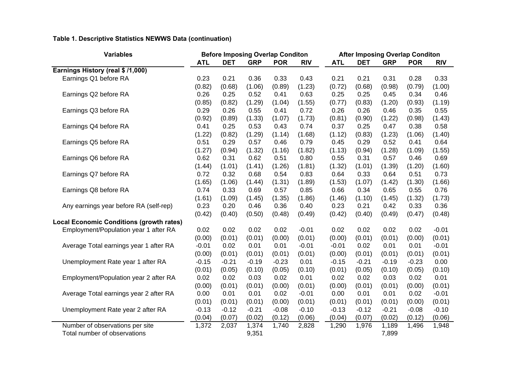### **Table 1. Descriptive Statistics NEWWS Data (continuation)**

| <b>Variables</b>                                |            | <b>Before Imposing Overlap Conditon</b> |            |            |            | <b>After Imposing Overlap Conditon</b> |            |            |            |            |  |  |
|-------------------------------------------------|------------|-----------------------------------------|------------|------------|------------|----------------------------------------|------------|------------|------------|------------|--|--|
|                                                 | <b>ATL</b> | <b>DET</b>                              | <b>GRP</b> | <b>POR</b> | <b>RIV</b> | <b>ATL</b>                             | <b>DET</b> | <b>GRP</b> | <b>POR</b> | <b>RIV</b> |  |  |
| Earnings History (real \$ /1,000)               |            |                                         |            |            |            |                                        |            |            |            |            |  |  |
| Earnings Q1 before RA                           | 0.23       | 0.21                                    | 0.36       | 0.33       | 0.43       | 0.21                                   | 0.21       | 0.31       | 0.28       | 0.33       |  |  |
|                                                 | (0.82)     | (0.68)                                  | (1.06)     | (0.89)     | (1.23)     | (0.72)                                 | (0.68)     | (0.98)     | (0.79)     | (1.00)     |  |  |
| Earnings Q2 before RA                           | 0.26       | 0.25                                    | 0.52       | 0.41       | 0.63       | 0.25                                   | 0.25       | 0.45       | 0.34       | 0.46       |  |  |
|                                                 | (0.85)     | (0.82)                                  | (1.29)     | (1.04)     | (1.55)     | (0.77)                                 | (0.83)     | (1.20)     | (0.93)     | (1.19)     |  |  |
| Earnings Q3 before RA                           | 0.29       | 0.26                                    | 0.55       | 0.41       | 0.72       | 0.26                                   | 0.26       | 0.46       | 0.35       | 0.55       |  |  |
|                                                 | (0.92)     | (0.89)                                  | (1.33)     | (1.07)     | (1.73)     | (0.81)                                 | (0.90)     | (1.22)     | (0.98)     | (1.43)     |  |  |
| Earnings Q4 before RA                           | 0.41       | 0.25                                    | 0.53       | 0.43       | 0.74       | 0.37                                   | 0.25       | 0.47       | 0.38       | 0.58       |  |  |
|                                                 | (1.22)     | (0.82)                                  | (1.29)     | (1.14)     | (1.68)     | (1.12)                                 | (0.83)     | (1.23)     | (1.06)     | (1.40)     |  |  |
| Earnings Q5 before RA                           | 0.51       | 0.29                                    | 0.57       | 0.46       | 0.79       | 0.45                                   | 0.29       | 0.52       | 0.41       | 0.64       |  |  |
|                                                 | (1.27)     | (0.94)                                  | (1.32)     | (1.16)     | (1.82)     | (1.13)                                 | (0.94)     | (1.28)     | (1.09)     | (1.55)     |  |  |
| Earnings Q6 before RA                           | 0.62       | 0.31                                    | 0.62       | 0.51       | 0.80       | 0.55                                   | 0.31       | 0.57       | 0.46       | 0.69       |  |  |
|                                                 | (1.44)     | (1.01)                                  | (1.41)     | (1.26)     | (1.81)     | (1.32)                                 | (1.01)     | (1.39)     | (1.20)     | (1.60)     |  |  |
| Earnings Q7 before RA                           | 0.72       | 0.32                                    | 0.68       | 0.54       | 0.83       | 0.64                                   | 0.33       | 0.64       | 0.51       | 0.73       |  |  |
|                                                 | (1.65)     | (1.06)                                  | (1.44)     | (1.31)     | (1.89)     | (1.53)                                 | (1.07)     | (1.42)     | (1.30)     | (1.66)     |  |  |
| Earnings Q8 before RA                           | 0.74       | 0.33                                    | 0.69       | 0.57       | 0.85       | 0.66                                   | 0.34       | 0.65       | 0.55       | 0.76       |  |  |
|                                                 | (1.61)     | (1.09)                                  | (1.45)     | (1.35)     | (1.86)     | (1.46)                                 | (1.10)     | (1.45)     | (1.32)     | (1.73)     |  |  |
| Any earnings year before RA (self-rep)          | 0.23       | 0.20                                    | 0.46       | 0.36       | 0.40       | 0.23                                   | 0.21       | 0.42       | 0.33       | 0.36       |  |  |
|                                                 | (0.42)     | (0.40)                                  | (0.50)     | (0.48)     | (0.49)     | (0.42)                                 | (0.40)     | (0.49)     | (0.47)     | (0.48)     |  |  |
| <b>Local Economic Conditions (growth rates)</b> |            |                                         |            |            |            |                                        |            |            |            |            |  |  |
| Employment/Population year 1 after RA           | 0.02       | 0.02                                    | 0.02       | 0.02       | $-0.01$    | 0.02                                   | 0.02       | 0.02       | 0.02       | $-0.01$    |  |  |
|                                                 | (0.00)     | (0.01)                                  | (0.01)     | (0.00)     | (0.01)     | (0.00)                                 | (0.01)     | (0.01)     | (0.00)     | (0.01)     |  |  |
| Average Total earnings year 1 after RA          | $-0.01$    | 0.02                                    | 0.01       | 0.01       | $-0.01$    | $-0.01$                                | 0.02       | 0.01       | 0.01       | $-0.01$    |  |  |
|                                                 | (0.00)     | (0.01)                                  | (0.01)     | (0.01)     | (0.01)     | (0.00)                                 | (0.01)     | (0.01)     | (0.01)     | (0.01)     |  |  |
| Unemployment Rate year 1 after RA               | $-0.15$    | $-0.21$                                 | $-0.19$    | $-0.23$    | 0.01       | $-0.15$                                | $-0.21$    | $-0.19$    | $-0.23$    | 0.00       |  |  |
|                                                 | (0.01)     | (0.05)                                  | (0.10)     | (0.05)     | (0.10)     | (0.01)                                 | (0.05)     | (0.10)     | (0.05)     | (0.10)     |  |  |
| Employment/Population year 2 after RA           | 0.02       | 0.02                                    | 0.03       | 0.02       | 0.01       | 0.02                                   | 0.02       | 0.03       | 0.02       | 0.01       |  |  |
|                                                 | (0.00)     | (0.01)                                  | (0.01)     | (0.00)     | (0.01)     | (0.00)                                 | (0.01)     | (0.01)     | (0.00)     | (0.01)     |  |  |
| Average Total earnings year 2 after RA          | 0.00       | 0.01                                    | 0.01       | 0.02       | $-0.01$    | 0.00                                   | 0.01       | 0.01       | 0.02       | $-0.01$    |  |  |
|                                                 | (0.01)     | (0.01)                                  | (0.01)     | (0.00)     | (0.01)     | (0.01)                                 | (0.01)     | (0.01)     | (0.00)     | (0.01)     |  |  |
| Unemployment Rate year 2 after RA               | $-0.13$    | $-0.12$                                 | $-0.21$    | $-0.08$    | $-0.10$    | $-0.13$                                | $-0.12$    | $-0.21$    | $-0.08$    | $-0.10$    |  |  |
|                                                 | (0.04)     | (0.07)                                  | (0.02)     | (0.12)     | (0.06)     | (0.04)                                 | (0.07)     | (0.02)     | (0.12)     | (0.06)     |  |  |
| Number of observations per site                 | 1,372      | 2,037                                   | 1,374      | 1,740      | 2,828      | 1,290                                  | 1,976      | 1,189      | 1,496      | 1,948      |  |  |
| Total number of observations                    |            |                                         | 9,351      |            |            |                                        |            | 7,899      |            |            |  |  |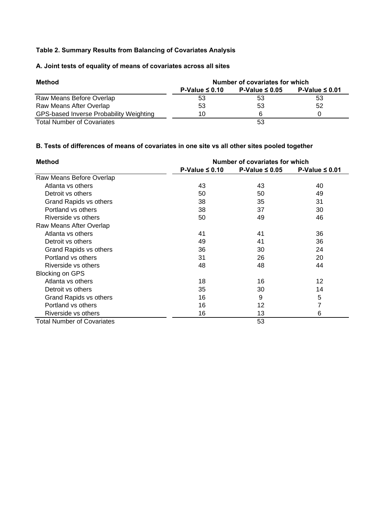#### **Table 2. Summary Results from Balancing of Covariates Analysis**

#### **A. Joint tests of equality of means of covariates across all sites**

| Method                                  |                     | Number of covariates for which |                     |
|-----------------------------------------|---------------------|--------------------------------|---------------------|
|                                         | $P-Value \leq 0.10$ | P-Value $\leq 0.05$            | P-Value $\leq 0.01$ |
| Raw Means Before Overlap                | 53                  | 53                             | 53                  |
| Raw Means After Overlap                 | 53                  | 53                             | 52                  |
| GPS-based Inverse Probability Weighting | 10                  | 6                              |                     |
| <b>Total Number of Covariates</b>       |                     | 53                             |                     |

#### **B. Tests of differences of means of covariates in one site vs all other sites pooled together**

| <b>Method</b>                     |                     | Number of covariates for which |                     |  |  |  |  |  |  |  |  |
|-----------------------------------|---------------------|--------------------------------|---------------------|--|--|--|--|--|--|--|--|
|                                   | P-Value $\leq 0.10$ | P-Value $\leq 0.05$            | P-Value $\leq 0.01$ |  |  |  |  |  |  |  |  |
| Raw Means Before Overlap          |                     |                                |                     |  |  |  |  |  |  |  |  |
| Atlanta vs others                 | 43                  | 43                             | 40                  |  |  |  |  |  |  |  |  |
| Detroit vs others                 | 50                  | 50                             | 49                  |  |  |  |  |  |  |  |  |
| Grand Rapids vs others            | 38                  | 35                             | 31                  |  |  |  |  |  |  |  |  |
| Portland vs others                | 38                  | 37                             | 30                  |  |  |  |  |  |  |  |  |
| Riverside vs others               | 50                  | 49                             | 46                  |  |  |  |  |  |  |  |  |
| Raw Means After Overlap           |                     |                                |                     |  |  |  |  |  |  |  |  |
| Atlanta vs others                 | 41                  | 41                             | 36                  |  |  |  |  |  |  |  |  |
| Detroit vs others                 | 49                  | 41                             | 36                  |  |  |  |  |  |  |  |  |
| Grand Rapids vs others            | 36                  | 30                             | 24                  |  |  |  |  |  |  |  |  |
| Portland vs others                | 31                  | 26                             | 20                  |  |  |  |  |  |  |  |  |
| Riverside vs others               | 48                  | 48                             | 44                  |  |  |  |  |  |  |  |  |
| <b>Blocking on GPS</b>            |                     |                                |                     |  |  |  |  |  |  |  |  |
| Atlanta vs others                 | 18                  | 16                             | 12                  |  |  |  |  |  |  |  |  |
| Detroit vs others                 | 35                  | 30                             | 14                  |  |  |  |  |  |  |  |  |
| Grand Rapids vs others            | 16                  | 9                              | 5                   |  |  |  |  |  |  |  |  |
| Portland vs others                | 16                  | 12                             | 7                   |  |  |  |  |  |  |  |  |
| Riverside vs others               | 16                  | 13                             | 6                   |  |  |  |  |  |  |  |  |
| <b>Total Number of Covariates</b> |                     | 53                             |                     |  |  |  |  |  |  |  |  |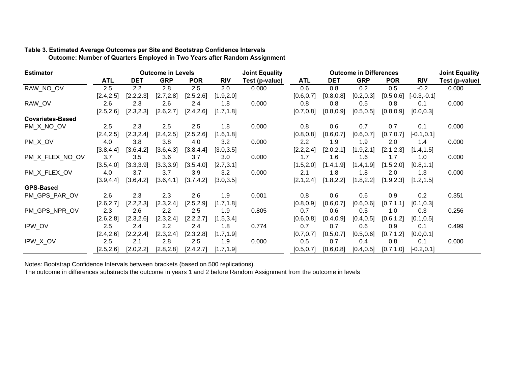#### **Table 3. Estimated Average Outcomes per Site and Bootstrap Confidence Intervals Outcome: Number of Quarters Employed in Two Years after Random Assignment**

| <b>Estimator</b>        |            |            | <b>Outcome in Levels</b> |            |            | <b>Joint Equality</b> |            | <b>Outcome in Differences</b> |            | <b>Joint Equality</b> |               |                |
|-------------------------|------------|------------|--------------------------|------------|------------|-----------------------|------------|-------------------------------|------------|-----------------------|---------------|----------------|
|                         | <b>ATL</b> | <b>DET</b> | <b>GRP</b>               | <b>POR</b> | <b>RIV</b> | Test (p-value)        | <b>ATL</b> | <b>DET</b>                    | <b>GRP</b> | <b>POR</b>            | <b>RIV</b>    | Test (p-value) |
| RAW NO OV               | 2.5        | 2.2        | 2.8                      | 2.5        | 2.0        | 0.000                 | 0.6        | 0.8                           | 0.2        | 0.5                   | $-0.2$        | 0.000          |
|                         | [2.4, 2.5] | [2.2, 2.3] | [2.7, 2.8]               | [2.5, 2.6] | [1.9, 2.0] |                       | [0.6, 0.7] | [0.8, 0.8]                    | [0.2, 0.3] | [0.5, 0.6]            | $[-0.3,-0.1]$ |                |
| RAW_OV                  | 2.6        | 2.3        | 2.6                      | 2.4        | 1.8        | 0.000                 | 0.8        | 0.8                           | 0.5        | 0.8                   | 0.1           | 0.000          |
|                         | [2.5, 2.6] | [2.3, 2.3] | [2.6, 2.7]               | [2.4, 2.6] | [1.7, 1.8] |                       | [0.7, 0.8] | [0.8, 0.9]                    | [0.5, 0.5] | [0.8, 0.9]            | [0.0, 0.3]    |                |
| <b>Covariates-Based</b> |            |            |                          |            |            |                       |            |                               |            |                       |               |                |
| PM_X_NO_OV              | 2.5        | 2.3        | 2.5                      | 2.5        | 1.8        | 0.000                 | 0.8        | 0.6                           | 0.7        | 0.7                   | 0.1           | 0.000          |
|                         | [2.4, 2.5] | [2.3, 2.4] | [2.4, 2.5]               | [2.5, 2.6] | [1.6, 1.8] |                       | [0.8, 0.8] | [0.6, 0.7]                    | [0.6, 0.7] | [0.7, 0.7]            | $[-0.1, 0.1]$ |                |
| PM_X_OV                 | 4.0        | 3.8        | 3.8                      | 4.0        | 3.2        | 0.000                 | 2.2        | 1.9                           | 1.9        | 2.0                   | 1.4           | 0.000          |
|                         | [3.8, 4.4] | [3.6, 4.2] | [3.6, 4.3]               | [3.8, 4.4] | [3.0, 3.5] |                       | [2.2, 2.4] | [2.0, 2.1]                    | [1.9, 2.1] | [2.1, 2.3]            | [1.4, 1.5]    |                |
| PM X FLEX NO OV         | 3.7        | 3.5        | 3.6                      | 3.7        | 3.0        | 0.000                 | 1.7        | 1.6                           | 1.6        | 1.7                   | 1.0           | 0.000          |
|                         | [3.5, 4.0] | [3.3,3.9]  | [3.3, 3.9]               | [3.5, 4.0] | [2.7, 3.1] |                       | [1.5, 2.0] | [1.4, 1.9]                    | [1.4, 1.9] | [1.5, 2.0]            | [0.8, 1.1]    |                |
| PM X FLEX OV            | 4.0        | 3.7        | 3.7                      | 3.9        | 3.2        | 0.000                 | 2.1        | 1.8                           | 1.8        | 2.0                   | 1.3           | 0.000          |
|                         | [3.9, 4.4] | [3.6, 4.2] | [3.6, 4.1]               | [3.7, 4.2] | [3.0, 3.5] |                       | [2.1, 2.4] | [1.8, 2.2]                    | [1.8, 2.2] | [1.9, 2.3]            | [1.2, 1.5]    |                |
| <b>GPS-Based</b>        |            |            |                          |            |            |                       |            |                               |            |                       |               |                |
| PM_GPS_PAR_OV           | 2.6        | 2.3        | 2.3                      | 2.6        | 1.9        | 0.001                 | 0.8        | 0.6                           | 0.6        | 0.9                   | 0.2           | 0.351          |
|                         | [2.6, 2.7] | [2.2, 2.3] | [2.3, 2.4]               | [2.5, 2.9] | [1.7, 1.8] |                       | [0.8, 0.9] | [0.6, 0.7]                    | [0.6, 0.6] | [0.7, 1.1]            | [0.1, 0.3]    |                |
| PM GPS NPR OV           | 2.3        | 2.6        | $2.2\phantom{0}$         | 2.5        | 1.9        | 0.805                 | 0.7        | 0.6                           | 0.5        | 1.0                   | 0.3           | 0.256          |
|                         | [2.6, 2.8] | [2.3, 2.6] | [2.3, 2.4]               | [2.2, 2.7] | [1.5, 3.4] |                       | [0.6, 0.8] | [0.4, 0.9]                    | [0.4, 0.5] | [0.6, 1.2]            | [0.1, 0.5]    |                |
| IPW OV                  | 2.5        | 2.4        | $2.2\phantom{0}$         | 2.4        | 1.8        | 0.774                 | 0.7        | 0.7                           | 0.6        | 0.9                   | 0.1           | 0.499          |
|                         | [2.4, 2.6] | [2.2, 2.4] | [2.3, 2.4]               | [2.3, 2.8] | [1.7, 1.9] |                       | [0.7, 0.7] | [0.5, 0.7]                    | [0.5, 0.6] | [0.7, 1.2]            | [0.0, 0.1]    |                |
| IPW_X_OV                | 2.5        | 2.1        | 2.8                      | 2.5        | 1.9        | 0.000                 | 0.5        | 0.7                           | 0.4        | 0.8                   | 0.1           | 0.000          |
|                         | [2.5, 2.6] | [2.0, 2.2] | [2.8, 2.8]               | [2.4, 2.7] | [1.7, 1.9] |                       | [0.5, 0.7] | [0.6, 0.8]                    | [0.4, 0.5] | [0.7, 1.0]            | $[-0.2, 0.1]$ |                |

Notes: Bootstrap Confidence Intervals between brackets (based on 500 replications).

The outcome in differences substracts the outcome in years 1 and 2 before Random Assignment from the outcome in levels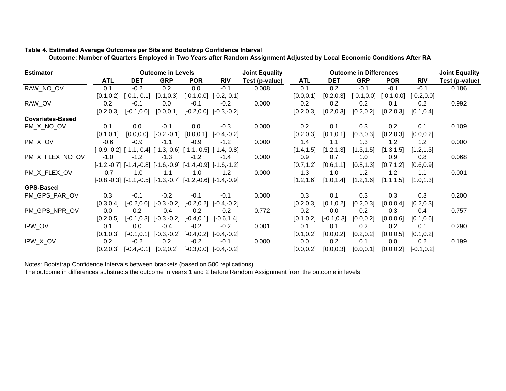#### **Table 4. Estimated Average Outcomes per Site and Bootstrap Confidence Interval**

 **Outcome: Number of Quarters Employed in Two Years after Random Assignment Adjusted by Local Economic Conditions After RA** 

| <b>Estimator</b>        |            |                             | <b>Outcome in Levels</b>                                                   |               |                                                                            | <b>Joint Equality</b> |            | <b>Outcome in Differences</b> | <b>Joint Equality</b> |            |                             |                |
|-------------------------|------------|-----------------------------|----------------------------------------------------------------------------|---------------|----------------------------------------------------------------------------|-----------------------|------------|-------------------------------|-----------------------|------------|-----------------------------|----------------|
|                         | <b>ATL</b> | <b>DET</b>                  | <b>GRP</b>                                                                 | <b>POR</b>    | <b>RIV</b>                                                                 | Test (p-value)        | <b>ATL</b> | <b>DET</b>                    | <b>GRP</b>            | <b>POR</b> | <b>RIV</b>                  | Test (p-value) |
| RAW_NO_OV               | 0.1        | $-0.2$                      | 0.2                                                                        | 0.0           | $-0.1$                                                                     | 0.008                 | 0.1        | 0.2                           | $-0.1$                | $-0.1$     | $-0.1$                      | 0.186          |
|                         | [0.1, 0.2] | $[-0.1,-0.1]$               | [0.1, 0.3]                                                                 |               | $[-0.1, 0.0]$ $[-0.2, -0.1]$                                               |                       | [0.0, 0.1] | [0.2, 0.3]                    | $[-0.1, 0.0]$         |            | $[-0.1, 0.0]$ $[-0.2, 0.0]$ |                |
| RAW_OV                  | 0.2        | -0.1                        | 0.0                                                                        | $-0.1$        | $-0.2$                                                                     | 0.000                 | 0.2        | 0.2                           | 0.2                   | 0.1        | 0.2                         | 0.992          |
|                         | [0.2, 0.3] | $[-0.1, 0.0]$               | [0.0, 0.1]                                                                 |               | $[-0.2, 0.0]$ $[-0.3, -0.2]$                                               |                       | [0.2, 0.3] | [0.2, 0.3]                    | [0.2, 0.2]            | [0.2, 0.3] | [0.1, 0.4]                  |                |
| <b>Covariates-Based</b> |            |                             |                                                                            |               |                                                                            |                       |            |                               |                       |            |                             |                |
| PM_X_NO_OV              | 0.1        | 0.0                         | $-0.1$                                                                     | 0.0           | $-0.3$                                                                     | 0.000                 | 0.2        | 0.1                           | 0.3                   | 0.2        | 0.1                         | 0.109          |
|                         | [0.1, 0.1] | [0.0, 0.0]                  | $[-0.2,-0.1]$                                                              | [0.0, 0.1]    | $[-0.4,-0.2]$                                                              |                       | [0.2, 0.3] | [0.1, 0.1]                    | [0.3, 0.3]            | [0.2, 0.3] | [0.0, 0.2]                  |                |
| PM_X_OV                 | $-0.6$     | $-0.9$                      | $-1.1$                                                                     | $-0.9$        | $-1.2$                                                                     | 0.000                 | 1.4        | 1.1                           | 1.3                   | 1.2        | 1.2                         | 0.000          |
|                         |            |                             | $[-0.9, -0.2]$ $[-1.1, -0.4]$ $[-1.3, -0.6]$ $[-1.1, -0.5]$ $[-1.4, -0.8]$ |               |                                                                            |                       | [1.4, 1.5] | [1.2, 1.3]                    | [1.3, 1.5]            | [1.3, 1.5] | [1.2, 1.3]                  |                |
| PM X FLEX NO OV         | $-1.0$     | $-1.2$                      | $-1.3$                                                                     | $-1.2$        | $-1.4$                                                                     | 0.000                 | 0.9        | 0.7                           | 1.0                   | 0.9        | 0.8                         | 0.068          |
|                         |            |                             |                                                                            |               | $[-1.2, -0.7]$ $[-1.4, -0.8]$ $[-1.6, -0.9]$ $[-1.4, -0.9]$ $[-1.6, -1.2]$ |                       | [0.7, 1.2] | [0.6, 1.1]                    | [0.8, 1.3]            | [0.7, 1.2] | [0.6, 0.9]                  |                |
| PM X FLEX OV            | $-0.7$     | $-1.0$                      | $-1.1$                                                                     | $-1.0$        | $-1.2$                                                                     | 0.000                 | 1.3        | 1.0                           | 1.2                   | 1.2        | 1.1                         | 0.001          |
|                         |            |                             |                                                                            |               | $[-0.8, -0.3]$ $[-1.1, -0.5]$ $[-1.3, -0.7]$ $[-1.2, -0.6]$ $[-1.4, -0.9]$ |                       | [1.2, 1.6] | [1.0, 1.4]                    | [1.2, 1.6]            | [1.1, 1.5] | [1.0, 1.3]                  |                |
| <b>GPS-Based</b>        |            |                             |                                                                            |               |                                                                            |                       |            |                               |                       |            |                             |                |
| PM_GPS_PAR_OV           | 0.3        | $-0.1$                      | $-0.2$                                                                     | $-0.1$        | $-0.1$                                                                     | 0.000                 | 0.3        | 0.1                           | 0.3                   | 0.3        | 0.3                         | 0.200          |
|                         | [0.3, 0.4] |                             | $[-0.2, 0.0]$ $[-0.3, -0.2]$                                               | $[-0.2, 0.2]$ | $[-0.4,-0.2]$                                                              |                       | [0.2, 0.3] | [0.1, 0.2]                    | [0.2, 0.3]            | [0.0, 0.4] | [0.2, 0.3]                  |                |
| PM GPS NPR OV           | 0.0        | 0.2                         | $-0.4$                                                                     | $-0.2$        | $-0.2$                                                                     | 0.772                 | 0.2        | 0.0                           | 0.2                   | 0.3        | 0.4                         | 0.757          |
|                         | [0.2, 0.5] |                             | $[-0.1, 0.3]$ $[-0.3, -0.2]$ $[-0.4, 0.1]$                                 |               | $[-0.6, 1.4]$                                                              |                       | [0.1, 0.2] | $[-0.1, 0.3]$                 | [0.0, 0.2]            | [0.0, 0.6] | [0.1, 0.6]                  |                |
| IPW_OV                  | 0.1        | 0.0                         | $-0.4$                                                                     | $-0.2$        | $-0.2$                                                                     | 0.001                 | 0.1        | 0.1                           | 0.2                   | 0.2        | 0.1                         | 0.290          |
|                         | [0.1, 0.3] |                             | $[-0.1, 0.1]$ $[-0.3, -0.2]$ $[-0.4, 0.2]$                                 |               | $[-0.4,-0.2]$                                                              |                       | [0.1, 0.2] | [0.0, 0.2]                    | [0.2, 0.2]            | [0.0, 0.5] | [0.1, 0.2]                  |                |
| IPW_X_OV                | 0.2        | $-0.2$                      | 0.2                                                                        | $-0.2$        | $-0.1$                                                                     | 0.000                 | 0.0        | 0.2                           | 0.1                   | 0.0        | 0.2                         | 0.199          |
|                         |            | $[0.2, 0.3]$ $[-0.4, -0.1]$ | [0.2, 0.2]                                                                 |               | $[-0.3, 0.0]$ $[-0.4, -0.2]$                                               |                       | [0.0, 0.2] | [0.0, 0.3]                    | [0.0, 0.1]            | [0.0, 0.2] | $[-0.1, 0.2]$               |                |

Notes: Bootstrap Confidence Intervals between brackets (based on 500 replications).

The outcome in differences substracts the outcome in years 1 and 2 before Random Assignment from the outcome in levels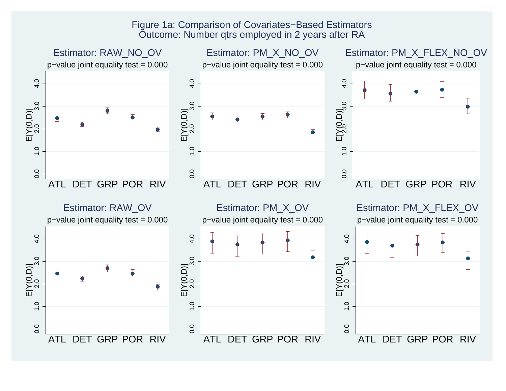### Figure 1a: Comparison of Covariates−Based Estimators Outcome: Number qtrs employed in 2 years after RA

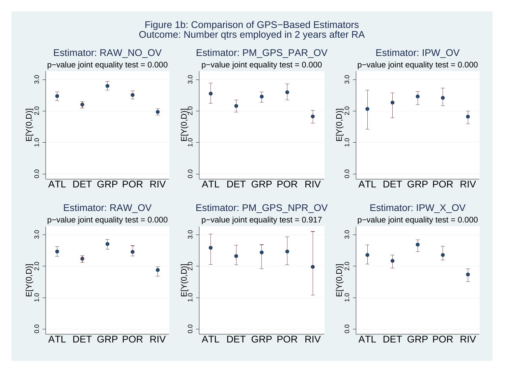### Figure 1b: Comparison of GPS−Based Estimators Outcome: Number qtrs employed in 2 years after RA

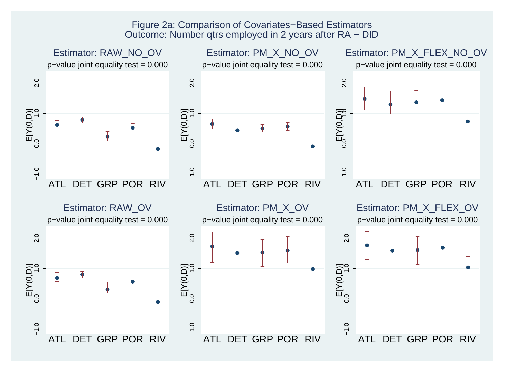### Figure 2a: Comparison of Covariates−Based Estimators Outcome: Number qtrs employed in 2 years after RA − DID

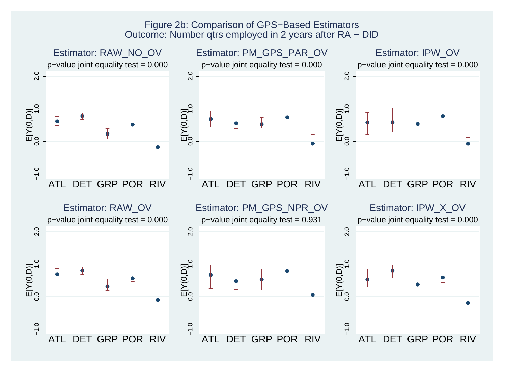### Figure 2b: Comparison of GPS−Based Estimators Outcome: Number qtrs employed in 2 years after RA − DID

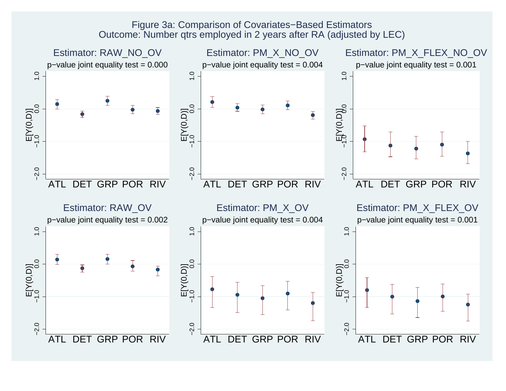### Figure 3a: Comparison of Covariates−Based Estimators Outcome: Number qtrs employed in 2 years after RA (adjusted by LEC)

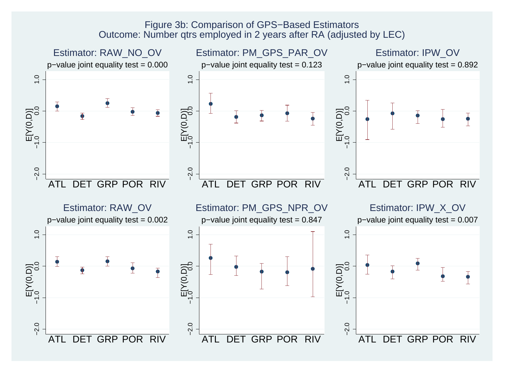### Figure 3b: Comparison of GPS−Based Estimators Outcome: Number qtrs employed in 2 years after RA (adjusted by LEC)

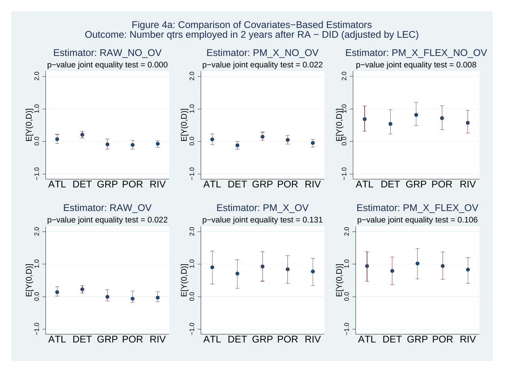### Figure 4a: Comparison of Covariates−Based Estimators Outcome: Number qtrs employed in 2 years after RA − DID (adjusted by LEC)

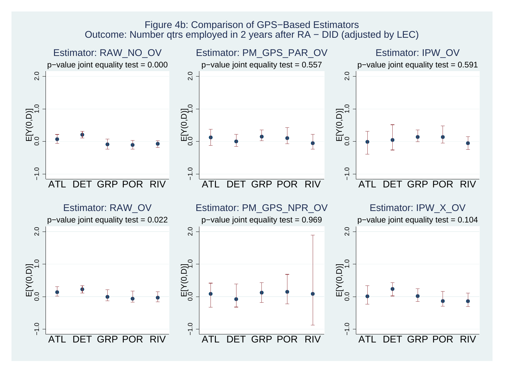### Figure 4b: Comparison of GPS−Based Estimators Outcome: Number qtrs employed in 2 years after RA − DID (adjusted by LEC)